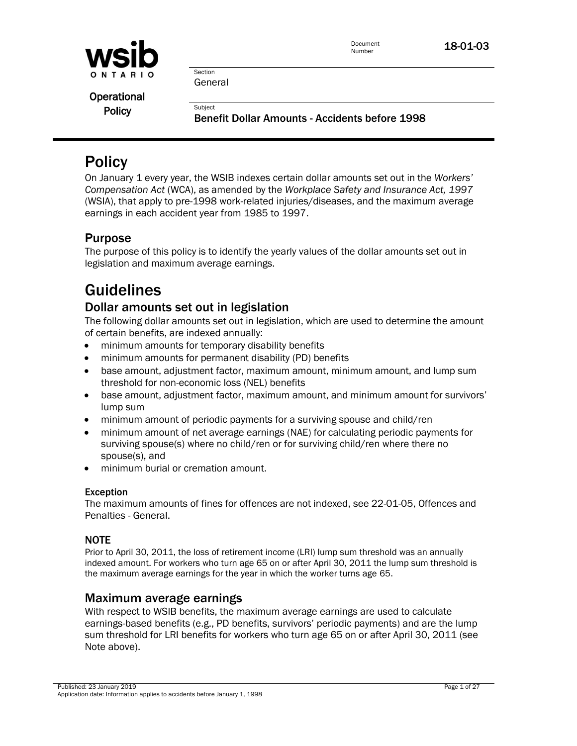

Document **18-01-03**<br>Number

**Section** General

**Subject** 

**Operational Policy** 

Benefit Dollar Amounts - Accidents before 1998

# **Policy**

On January 1 every year, the WSIB indexes certain dollar amounts set out in the *Workers' Compensation Act* (WCA), as amended by the *Workplace Safety and Insurance Act, 1997* (WSIA), that apply to pre-1998 work-related injuries/diseases, and the maximum average earnings in each accident year from 1985 to 1997.

## Purpose

The purpose of this policy is to identify the yearly values of the dollar amounts set out in legislation and maximum average earnings.

# Guidelines

## Dollar amounts set out in legislation

The following dollar amounts set out in legislation, which are used to determine the amount of certain benefits, are indexed annually:

- minimum amounts for temporary disability benefits
- minimum amounts for permanent disability (PD) benefits
- base amount, adjustment factor, maximum amount, minimum amount, and lump sum threshold for non-economic loss (NEL) benefits
- base amount, adjustment factor, maximum amount, and minimum amount for survivors' lump sum
- minimum amount of periodic payments for a surviving spouse and child/ren
- minimum amount of net average earnings (NAE) for calculating periodic payments for surviving spouse(s) where no child/ren or for surviving child/ren where there no spouse(s), and
- minimum burial or cremation amount.

## Exception

The maximum amounts of fines for offences are not indexed, see 22-01-05, Offences and Penalties - General.

## **NOTE**

Prior to April 30, 2011, the loss of retirement income (LRI) lump sum threshold was an annually indexed amount. For workers who turn age 65 on or after April 30, 2011 the lump sum threshold is the maximum average earnings for the year in which the worker turns age 65.

## Maximum average earnings

With respect to WSIB benefits, the maximum average earnings are used to calculate earnings-based benefits (e.g., PD benefits, survivors' periodic payments) and are the lump sum threshold for LRI benefits for workers who turn age 65 on or after April 30, 2011 (see Note above).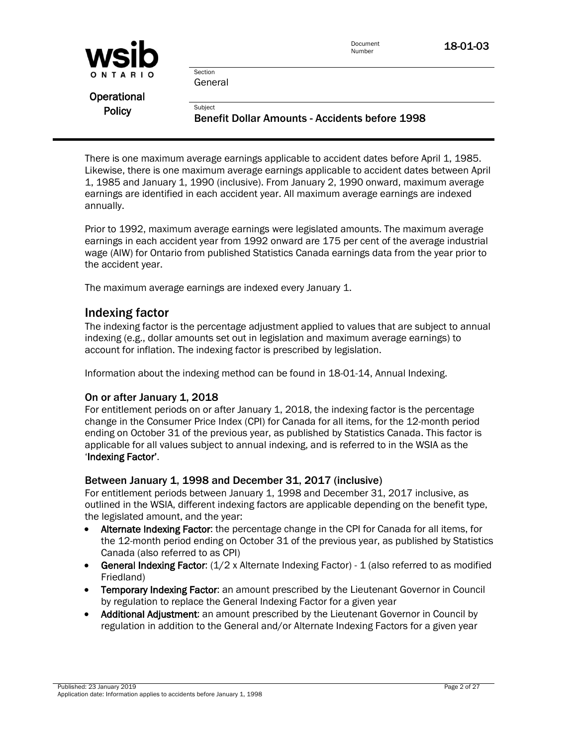| WSID        |         | Document<br>Number |
|-------------|---------|--------------------|
| ONTARIO     | Section |                    |
|             | General |                    |
| Operational |         |                    |

There is one maximum average earnings applicable to accident dates before April 1, 1985. Likewise, there is one maximum average earnings applicable to accident dates between April 1, 1985 and January 1, 1990 (inclusive). From January 2, 1990 onward, maximum average earnings are identified in each accident year. All maximum average earnings are indexed annually.

Benefit Dollar Amounts - Accidents before 1998

Prior to 1992, maximum average earnings were legislated amounts. The maximum average earnings in each accident year from 1992 onward are 175 per cent of the average industrial wage (AIW) for Ontario from published Statistics Canada earnings data from the year prior to the accident year.

The maximum average earnings are indexed every January 1.

**Subject** 

## Indexing factor

The indexing factor is the percentage adjustment applied to values that are subject to annual indexing (e.g., dollar amounts set out in legislation and maximum average earnings) to account for inflation. The indexing factor is prescribed by legislation.

Information about the indexing method can be found in 18-01-14, Annual Indexing.

#### On or after January 1, 2018

For entitlement periods on or after January 1, 2018, the indexing factor is the percentage change in the Consumer Price Index (CPI) for Canada for all items, for the 12-month period ending on October 31 of the previous year, as published by Statistics Canada. This factor is applicable for all values subject to annual indexing, and is referred to in the WSIA as the 'Indexing Factor'.

#### Between January 1, 1998 and December 31, 2017 (inclusive)

For entitlement periods between January 1, 1998 and December 31, 2017 inclusive, as outlined in the WSIA, different indexing factors are applicable depending on the benefit type, the legislated amount, and the year:

- Alternate Indexing Factor: the percentage change in the CPI for Canada for all items, for the 12-month period ending on October 31 of the previous year, as published by Statistics Canada (also referred to as CPI)
- **General Indexing Factor:**  $(1/2 \times$  Alternate Indexing Factor) 1 (also referred to as modified Friedland)
- Temporary Indexing Factor: an amount prescribed by the Lieutenant Governor in Council by regulation to replace the General Indexing Factor for a given year
- Additional Adjustment: an amount prescribed by the Lieutenant Governor in Council by regulation in addition to the General and/or Alternate Indexing Factors for a given year



**Policy**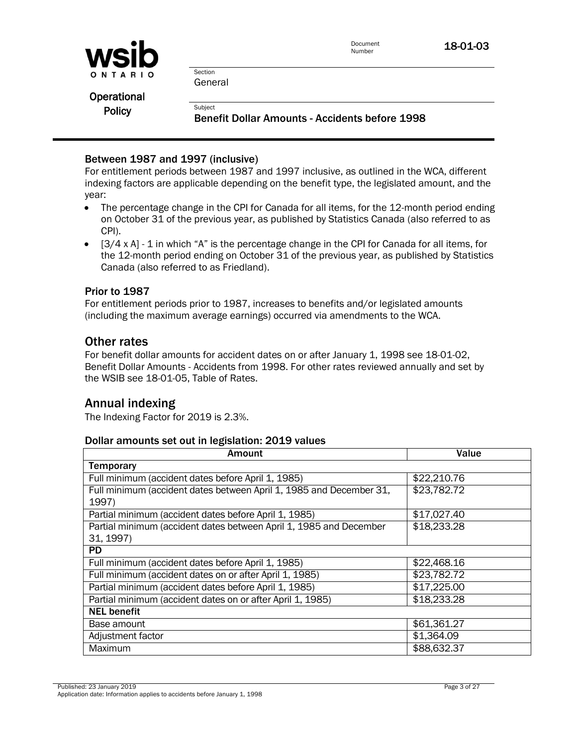

**Section** General

**Subject** 

Operational **Policy** 

Benefit Dollar Amounts - Accidents before 1998

## Between 1987 and 1997 (inclusive)

For entitlement periods between 1987 and 1997 inclusive, as outlined in the WCA, different indexing factors are applicable depending on the benefit type, the legislated amount, and the year:

- The percentage change in the CPI for Canada for all items, for the 12-month period ending on October 31 of the previous year, as published by Statistics Canada (also referred to as CPI).
- $\bullet$  [3/4 x A] 1 in which "A" is the percentage change in the CPI for Canada for all items, for the 12-month period ending on October 31 of the previous year, as published by Statistics Canada (also referred to as Friedland).

### Prior to 1987

For entitlement periods prior to 1987, increases to benefits and/or legislated amounts (including the maximum average earnings) occurred via amendments to the WCA.

## Other rates

For benefit dollar amounts for accident dates on or after January 1, 1998 see [18-01-02,](policy:18-01-03)  [Benefit Dollar Amounts -](policy:18-01-03) Accidents from 1998. For other rates reviewed annually and set by the WSIB see [18-01-05, Table of Rates.](policy:18-01-05)

## Annual indexing

The Indexing Factor for 2019 is 2.3%.

#### Dollar amounts set out in legislation: 2019 values

| Amount                                                              | Value       |
|---------------------------------------------------------------------|-------------|
| <b>Temporary</b>                                                    |             |
| Full minimum (accident dates before April 1, 1985)                  | \$22,210.76 |
| Full minimum (accident dates between April 1, 1985 and December 31, | \$23,782.72 |
| 1997)                                                               |             |
| Partial minimum (accident dates before April 1, 1985)               | \$17,027.40 |
| Partial minimum (accident dates between April 1, 1985 and December  | \$18,233.28 |
| 31, 1997)                                                           |             |
| <b>PD</b>                                                           |             |
| Full minimum (accident dates before April 1, 1985)                  | \$22,468.16 |
| Full minimum (accident dates on or after April 1, 1985)             | \$23,782.72 |
| Partial minimum (accident dates before April 1, 1985)               | \$17,225.00 |
| Partial minimum (accident dates on or after April 1, 1985)          | \$18,233.28 |
| <b>NEL benefit</b>                                                  |             |
| Base amount                                                         | \$61,361.27 |
| Adjustment factor                                                   | \$1,364.09  |
| Maximum                                                             | \$88,632.37 |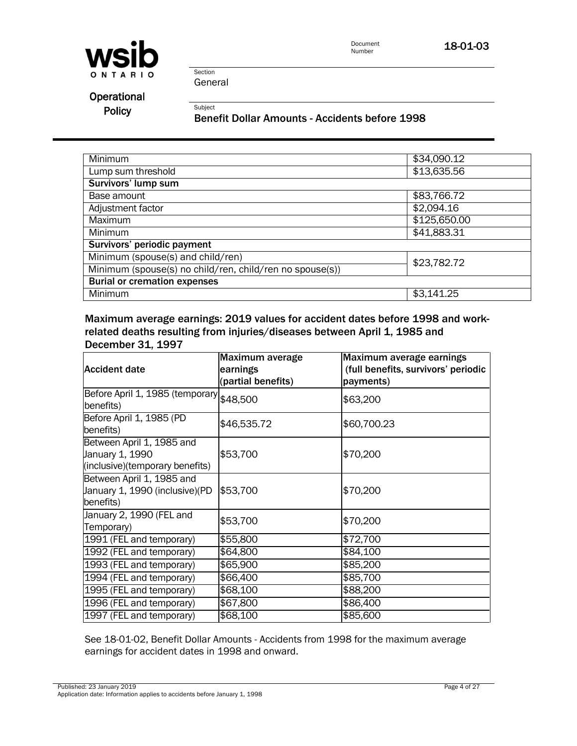



Section General

**Subject** 

## **Operational** Policy

Benefit Dollar Amounts - Accidents before 1998

| Minimum                                                  | \$34,090.12  |
|----------------------------------------------------------|--------------|
| Lump sum threshold                                       | \$13,635.56  |
| Survivors' lump sum                                      |              |
| Base amount                                              | \$83,766.72  |
| Adjustment factor                                        | \$2,094.16   |
| Maximum                                                  | \$125,650.00 |
| <b>Minimum</b>                                           | \$41,883.31  |
| Survivors' periodic payment                              |              |
| Minimum (spouse(s) and child/ren)                        | \$23,782.72  |
| Minimum (spouse(s) no child/ren, child/ren no spouse(s)) |              |
| <b>Burial or cremation expenses</b>                      |              |
| Minimum                                                  | \$3,141.25   |

Maximum average earnings: 2019 values for accident dates before 1998 and workrelated deaths resulting from injuries/diseases between April 1, 1985 and December 31, 1997

| <b>Accident date</b>                                                            | Maximum average<br>earnings<br>(partial benefits) | Maximum average earnings<br>(full benefits, survivors' periodic<br>payments) |
|---------------------------------------------------------------------------------|---------------------------------------------------|------------------------------------------------------------------------------|
| Before April 1, 1985 (temporary \$48,500<br>benefits)                           |                                                   | \$63,200                                                                     |
| Before April 1, 1985 (PD<br>benefits)                                           | \$46,535.72                                       | \$60,700.23                                                                  |
| Between April 1, 1985 and<br>January 1, 1990<br>(inclusive)(temporary benefits) | \$53,700                                          | \$70,200                                                                     |
| Between April 1, 1985 and<br>January 1, 1990 (inclusive) (PD<br>benefits)       | \$53,700                                          | \$70,200                                                                     |
| January 2, 1990 (FEL and<br>Temporary)                                          | \$53,700                                          | \$70,200                                                                     |
| 1991 (FEL and temporary)                                                        | \$55,800                                          | \$72,700                                                                     |
| 1992 (FEL and temporary)                                                        | \$64,800                                          | \$84,100                                                                     |
| 1993 (FEL and temporary)                                                        | \$65,900                                          | \$85,200                                                                     |
| 1994 (FEL and temporary)                                                        | \$66,400                                          | \$85,700                                                                     |
| 1995 (FEL and temporary)                                                        | \$68,100                                          | \$88,200                                                                     |
| 1996 (FEL and temporary)                                                        | \$67,800                                          | \$86,400                                                                     |
| 1997 (FEL and temporary)                                                        | \$68,100                                          | \$85,600                                                                     |

See 18-01-02, Benefit Dollar Amounts - Accidents from 1998 for the maximum average earnings for accident dates in 1998 and onward.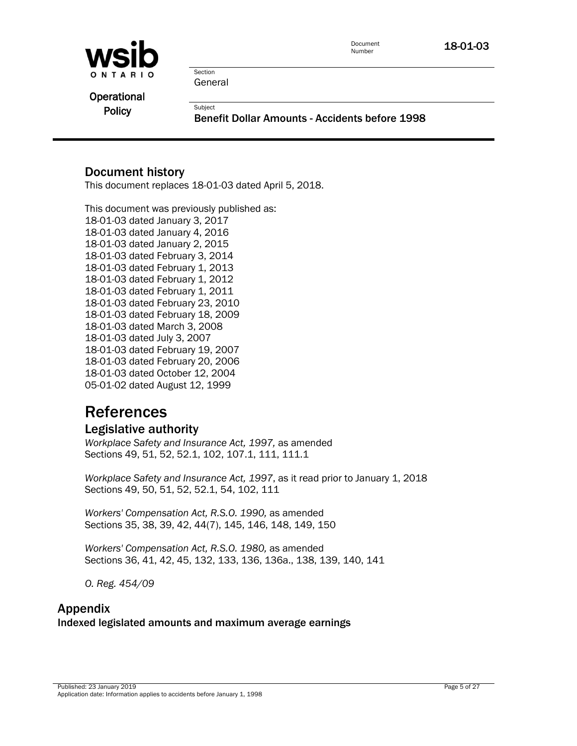

Document **18-01-03**<br>Number

**Section** General

**Subject** 

**Operational Policy** 

Benefit Dollar Amounts - Accidents before 1998

## Document history

This document replaces 18-01-03 dated April 5, 2018.

This document was previously published as: 18-01-03 dated January 3, 2017 18-01-03 dated January 4, 2016 18-01-03 dated January 2, 2015 18-01-03 dated February 3, 2014 18-01-03 dated February 1, 2013 18-01-03 dated February 1, 2012 18-01-03 dated February 1, 2011 18-01-03 dated February 23, 2010 18-01-03 dated February 18, 2009 18-01-03 dated March 3, 2008 18-01-03 dated July 3, 2007 18-01-03 dated February 19, 2007 18-01-03 dated February 20, 2006 18-01-03 dated October 12, 2004 05-01-02 dated August 12, 1999

# References

## Legislative authority

*Workplace Safety and Insurance Act, 1997,* as amended Sections 49, 51, 52, 52.1, 102, 107.1, 111, 111.1

*Workplace Safety and Insurance Act, 1997*, as it read prior to January 1, 2018 Sections 49, 50, 51, 52, 52.1, 54, 102, 111

*Workers' Compensation Act, R.S.O. 1990,* as amended Sections 35, 38, 39, 42, 44(7), 145, 146, 148, 149, 150

*Workers' Compensation Act, R.S.O. 1980,* as amended Sections 36, 41, 42, 45, 132, 133, 136, 136a., 138, 139, 140, 141

*O. Reg. 454/09*

## Appendix Indexed legislated amounts and maximum average earnings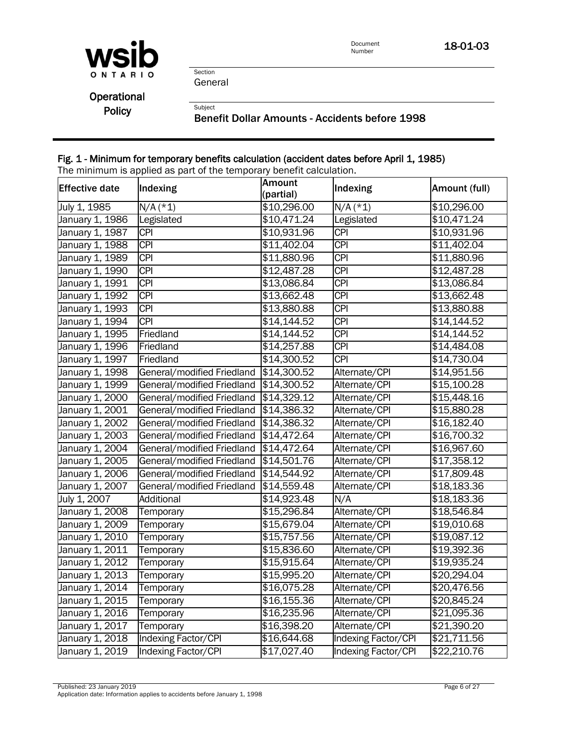

18-01-03

Section General

Subject

**Operational** Policy

Benefit Dollar Amounts - Accidents before 1998

## Fig. 1 - Minimum for temporary benefits calculation (accident dates before April 1, 1985)

The minimum is applied as part of the temporary benefit calculation.

| <b>Effective date</b> | Indexing                   | <b>Amount</b> | Indexing            | Amount (full) |
|-----------------------|----------------------------|---------------|---------------------|---------------|
|                       |                            | (partial)     |                     |               |
| July 1, 1985          | $N/A$ (*1)                 | \$10,296.00   | $N/A$ (*1)          | \$10,296.00   |
| January 1, 1986       | Legislated                 | \$10,471.24   | Legislated          | \$10,471.24   |
| January 1, 1987       | <b>CPI</b>                 | \$10,931.96   | <b>CPI</b>          | \$10,931.96   |
| January 1, 1988       | <b>CPI</b>                 | \$11,402.04   | <b>CPI</b>          | \$11,402.04   |
| January 1, 1989       | <b>CPI</b>                 | \$11,880.96   | <b>CPI</b>          | \$11,880.96   |
| January 1, 1990       | <b>CPI</b>                 | \$12,487.28   | <b>CPI</b>          | \$12,487.28   |
| January 1, 1991       | <b>CPI</b>                 | \$13,086.84   | <b>CPI</b>          | \$13,086.84   |
| January 1, 1992       | <b>CPI</b>                 | \$13,662.48   | <b>CPI</b>          | \$13,662.48   |
| January 1, 1993       | <b>CPI</b>                 | \$13,880.88   | $\overline{CPI}$    | \$13,880.88   |
| January 1, 1994       | <b>CPI</b>                 | \$14,144.52   | <b>CPI</b>          | \$14,144.52   |
| January 1, 1995       | Friedland                  | \$14,144.52   | $\overline{CPI}$    | \$14,144.52   |
| January 1, 1996       | Friedland                  | \$14,257.88   | $\overline{CPI}$    | \$14,484.08   |
| January 1, 1997       | Friedland                  | \$14,300.52   | <b>CPI</b>          | \$14,730.04   |
| January 1, 1998       | General/modified Friedland | \$14,300.52   | Alternate/CPI       | \$14,951.56   |
| January 1, 1999       | General/modified Friedland | \$14,300.52   | Alternate/CPI       | \$15,100.28   |
| January 1, 2000       | General/modified Friedland | \$14,329.12   | Alternate/CPI       | \$15,448.16   |
| January 1, 2001       | General/modified Friedland | \$14,386.32   | Alternate/CPI       | \$15,880.28   |
| January 1, 2002       | General/modified Friedland | \$14,386.32   | Alternate/CPI       | \$16,182.40   |
| January 1, 2003       | General/modified Friedland | \$14,472.64   | Alternate/CPI       | \$16,700.32   |
| January 1, 2004       | General/modified Friedland | \$14,472.64   | Alternate/CPI       | \$16,967.60   |
| January 1, 2005       | General/modified Friedland | \$14,501.76   | Alternate/CPI       | \$17,358.12   |
| January 1, 2006       | General/modified Friedland | \$14,544.92   | Alternate/CPI       | \$17,809.48   |
| January 1, 2007       | General/modified Friedland | \$14,559.48   | Alternate/CPI       | \$18,183.36   |
| July 1, 2007          | Additional                 | \$14,923.48   | N/A                 | \$18,183.36   |
| January 1, 2008       | Temporary                  | \$15,296.84   | Alternate/CPI       | \$18,546.84   |
| January 1, 2009       | Temporary                  | \$15,679.04   | Alternate/CPI       | \$19,010.68   |
| January 1, 2010       | Temporary                  | \$15,757.56   | Alternate/CPI       | \$19,087.12   |
| January 1, 2011       | Temporary                  | \$15,836.60   | Alternate/CPI       | \$19,392.36   |
| January 1, 2012       | Temporary                  | \$15,915.64   | Alternate/CPI       | \$19,935.24   |
| January 1, 2013       | Temporary                  | \$15,995.20   | Alternate/CPI       | \$20,294.04   |
| January 1, 2014       | Temporary                  | \$16,075.28   | Alternate/CPI       | \$20,476.56   |
| January 1, 2015       | Temporary                  | \$16,155.36   | Alternate/CPI       | \$20,845.24   |
| January 1, 2016       | Temporary                  | \$16,235.96   | Alternate/CPI       | \$21,095.36   |
| January 1, 2017       | Temporary                  | \$16,398.20   | Alternate/CPI       | \$21,390.20   |
| January 1, 2018       | Indexing Factor/CPI        | \$16,644.68   | Indexing Factor/CPI | \$21,711.56   |
| January 1, 2019       | Indexing Factor/CPI        | \$17,027.40   | Indexing Factor/CPI | \$22,210.76   |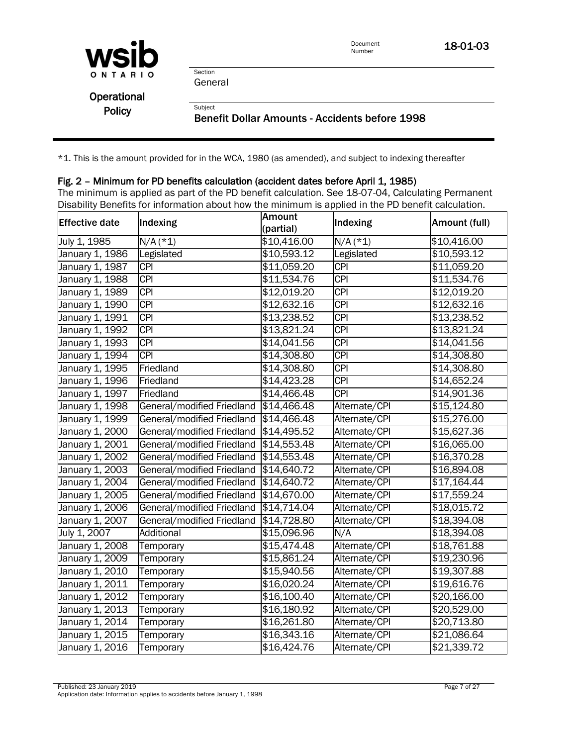

Document<br>Number 18-01-03

Section General

**Subject** 

| Operational   |  |
|---------------|--|
| <b>Policy</b> |  |

Benefit Dollar Amounts - Accidents before 1998

\*1. This is the amount provided for in the WCA, 1980 (as amended), and subject to indexing thereafter

#### Fig. 2 – Minimum for PD benefits calculation (accident dates before April 1, 1985)

The minimum is applied as part of the PD benefit calculation. See 18-07-04, Calculating Permanent Disability Benefits for information about how the minimum is applied in the PD benefit calculation.

| <b>Effective date</b> | Indexing                   | <b>Amount</b><br>(partial) | Indexing         | Amount (full) |
|-----------------------|----------------------------|----------------------------|------------------|---------------|
| July 1, 1985          | $N/A$ (*1)                 | \$10,416.00                | $N/A$ (*1)       | \$10,416.00   |
| January 1, 1986       | Legislated                 | \$10,593.12                | Legislated       | \$10,593.12   |
| January 1, 1987       | <b>CPI</b>                 | \$11,059.20                | $\overline{CPI}$ | \$11,059.20   |
| January 1, 1988       | $\overline{CPI}$           | \$11,534.76                | <b>CPI</b>       | \$11,534.76   |
| January 1, 1989       | <b>CPI</b>                 | \$12,019.20                | $\overline{CPI}$ | \$12,019.20   |
| January 1, 1990       | <b>CPI</b>                 | \$12,632.16                | $\overline{CPI}$ | \$12,632.16   |
| January 1, 1991       | <b>CPI</b>                 | \$13,238.52                | <b>CPI</b>       | \$13,238.52   |
| January 1, 1992       | <b>CPI</b>                 | \$13,821.24                | $\overline{CPI}$ | \$13,821.24   |
| January 1, 1993       | <b>CPI</b>                 | \$14,041.56                | $\overline{CPI}$ | \$14,041.56   |
| January 1, 1994       | $\overline{CPI}$           | \$14,308.80                | $\overline{CPI}$ | \$14,308.80   |
| January 1, 1995       | Friedland                  | \$14,308.80                | $\overline{CPI}$ | \$14,308.80   |
| January 1, 1996       | Friedland                  | \$14,423.28                | $\overline{CPI}$ | \$14,652.24   |
| January 1, 1997       | Friedland                  | \$14,466.48                | <b>CPI</b>       | \$14,901.36   |
| January 1, 1998       | General/modified Friedland | \$14,466.48                | Alternate/CPI    | \$15,124.80   |
| January 1, 1999       | General/modified Friedland | \$14,466.48                | Alternate/CPI    | \$15,276.00   |
| January 1, 2000       | General/modified Friedland | \$14,495.52                | Alternate/CPI    | \$15,627.36   |
| January 1, 2001       | General/modified Friedland | \$14,553.48                | Alternate/CPI    | \$16,065.00   |
| January 1, 2002       | General/modified Friedland | \$14,553.48                | Alternate/CPI    | \$16,370.28   |
| January 1, 2003       | General/modified Friedland | \$14,640.72                | Alternate/CPI    | \$16,894.08   |
| January 1, 2004       | General/modified Friedland | \$14,640.72                | Alternate/CPI    | \$17,164.44   |
| January 1, 2005       | General/modified Friedland | \$14,670.00                | Alternate/CPI    | \$17,559.24   |
| January 1, 2006       | General/modified Friedland | \$14,714.04                | Alternate/CPI    | \$18,015.72   |
| January 1, 2007       | General/modified Friedland | \$14,728.80                | Alternate/CPI    | \$18,394.08   |
| July 1, 2007          | Additional                 | \$15,096.96                | N/A              | \$18,394.08   |
| January 1, 2008       | Temporary                  | \$15,474.48                | Alternate/CPI    | \$18,761.88   |
| January 1, 2009       | Temporary                  | \$15,861.24                | Alternate/CPI    | \$19,230.96   |
| January 1, 2010       | Temporary                  | \$15,940.56                | Alternate/CPI    | \$19,307.88   |
| January 1, 2011       | Temporary                  | \$16,020.24                | Alternate/CPI    | \$19,616.76   |
| January 1, 2012       | Temporary                  | \$16,100.40                | Alternate/CPI    | \$20,166.00   |
| January 1, 2013       | Temporary                  | \$16,180.92                | Alternate/CPI    | \$20,529.00   |
| January 1, 2014       | Temporary                  | \$16,261.80                | Alternate/CPI    | \$20,713.80   |
| January 1, 2015       | Temporary                  | \$16,343.16                | Alternate/CPI    | \$21,086.64   |
| January 1, 2016       | Temporary                  | \$16,424.76                | Alternate/CPI    | \$21,339.72   |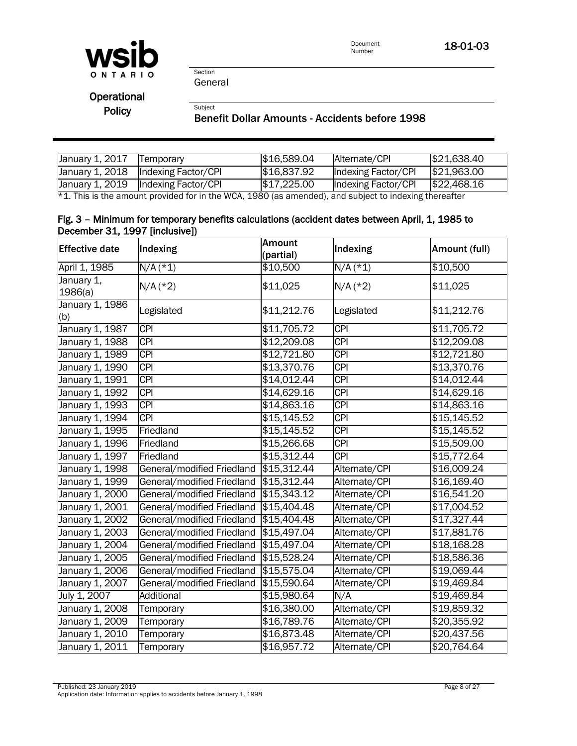

18-01-03

Section General

Subject

**Operational** 

Policy

#### Benefit Dollar Amounts - Accidents before 1998

| January 1, 2017 | <b>ITemporary</b>                     | \$16,589.04 | Alternate/CPI       | \$21,638.40 |
|-----------------|---------------------------------------|-------------|---------------------|-------------|
|                 | January 1, 2018   Indexing Factor/CPI | \$16,837.92 | Indexing Factor/CPI | \$21,963.00 |
|                 | January 1, 2019   Indexing Factor/CPI | \$17,225.00 | Indexing Factor/CPI | \$22,468.16 |

\*1. This is the amount provided for in the WCA, 1980 (as amended), and subject to indexing thereafter

#### Fig. 3 – Minimum for temporary benefits calculations (accident dates between April, 1, 1985 to December 31, 1997 [inclusive])

| <b>Effective date</b>  | Indexing                   | <b>Amount</b><br>(partial) | Indexing         | Amount (full) |
|------------------------|----------------------------|----------------------------|------------------|---------------|
| April 1, 1985          | $N/A$ (*1)                 | \$10,500                   | $N/A$ (*1)       | \$10,500      |
| January 1,<br>1986(a)  | $N/A$ (*2)                 | \$11,025                   | $N/A$ (*2)       | \$11,025      |
| January 1, 1986<br>(b) | Legislated                 | \$11,212.76                | Legislated       | \$11,212.76   |
| January 1, 1987        | <b>CPI</b>                 | \$11,705.72                | <b>CPI</b>       | \$11,705.72   |
| January 1, 1988        | <b>CPI</b>                 | \$12,209.08                | <b>CPI</b>       | \$12,209.08   |
| January 1, 1989        | <b>CPI</b>                 | \$12,721.80                | <b>CPI</b>       | \$12,721.80   |
| January 1, 1990        | $\overline{CPI}$           | \$13,370.76                | $\overline{CPI}$ | \$13,370.76   |
| January 1, 1991        | <b>CPI</b>                 | \$14,012.44                | <b>CPI</b>       | \$14,012.44   |
| January 1, 1992        | <b>CPI</b>                 | \$14,629.16                | <b>CPI</b>       | \$14,629.16   |
| January 1, 1993        | <b>CPI</b>                 | \$14,863.16                | $\overline{CPI}$ | \$14,863.16   |
| January 1, 1994        | $\overline{CPI}$           | \$15,145.52                | $\overline{CPI}$ | \$15,145.52   |
| January 1, 1995        | Friedland                  | \$15,145.52                | <b>CPI</b>       | \$15,145.52   |
| January 1, 1996        | Friedland                  | \$15,266.68                | $\overline{CPI}$ | \$15,509.00   |
| January 1, 1997        | Friedland                  | \$15,312.44                | $\overline{CPI}$ | \$15,772.64   |
| January 1, 1998        | General/modified Friedland | \$15,312.44                | Alternate/CPI    | \$16,009.24   |
| January 1, 1999        | General/modified Friedland | \$15,312.44                | Alternate/CPI    | \$16,169.40   |
| January 1, 2000        | General/modified Friedland | \$15,343.12                | Alternate/CPI    | \$16,541.20   |
| January 1, 2001        | General/modified Friedland | \$15,404.48                | Alternate/CPI    | \$17,004.52   |
| January 1, 2002        | General/modified Friedland | \$15,404.48                | Alternate/CPI    | \$17,327.44   |
| January 1, 2003        | General/modified Friedland | \$15,497.04                | Alternate/CPI    | \$17,881.76   |
| January 1, 2004        | General/modified Friedland | \$15,497.04                | Alternate/CPI    | \$18,168.28   |
| January 1, 2005        | General/modified Friedland | \$15,528.24                | Alternate/CPI    | \$18,586.36   |
| January 1, 2006        | General/modified Friedland | \$15,575.04                | Alternate/CPI    | \$19,069.44   |
| January 1, 2007        | General/modified Friedland | \$15,590.64                | Alternate/CPI    | \$19,469.84   |
| July 1, 2007           | Additional                 | \$15,980.64                | N/A              | \$19,469.84   |
| January 1, 2008        | Temporary                  | \$16,380.00                | Alternate/CPI    | \$19,859.32   |
| January 1, 2009        | Temporary                  | \$16,789.76                | Alternate/CPI    | \$20,355.92   |
| January 1, 2010        | Temporary                  | \$16,873.48                | Alternate/CPI    | \$20,437.56   |
| January 1, 2011        | Temporary                  | \$16,957.72                | Alternate/CPI    | \$20,764.64   |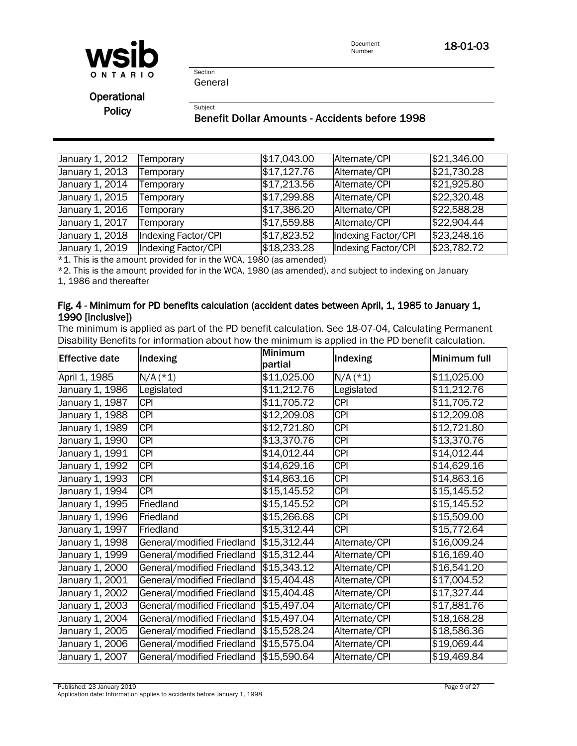

Document<br>Number 18-01-03

Section General

**Subject** 

**Operational** Policy

#### Benefit Dollar Amounts - Accidents before 1998

| January 1, 2012 | Temporary           | \$17,043.00 | Alternate/CPI       | \$21,346.00 |
|-----------------|---------------------|-------------|---------------------|-------------|
| January 1, 2013 | Temporary           | \$17,127.76 | Alternate/CPI       | \$21,730.28 |
| January 1, 2014 | Temporary           | \$17,213.56 | Alternate/CPI       | \$21,925.80 |
| January 1, 2015 | Temporary           | \$17,299.88 | Alternate/CPI       | \$22,320.48 |
| January 1, 2016 | Temporary           | \$17,386.20 | Alternate/CPI       | \$22,588.28 |
| January 1, 2017 | Temporary           | \$17,559.88 | Alternate/CPI       | \$22,904.44 |
| January 1, 2018 | Indexing Factor/CPI | \$17,823.52 | Indexing Factor/CPI | \$23,248.16 |
| January 1, 2019 | Indexing Factor/CPI | \$18,233.28 | Indexing Factor/CPI | \$23,782.72 |

 $*1$ . This is the amount provided for in the WCA, 1980 (as amended)

\*2. This is the amount provided for in the WCA, 1980 (as amended), and subject to indexing on January 1, 1986 and thereafter

#### Fig. 4 - Minimum for PD benefits calculation (accident dates between April, 1, 1985 to January 1, 1990 [inclusive])

The minimum is applied as part of the PD benefit calculation. See 18-07-04, Calculating Permanent Disability Benefits for information about how the minimum is applied in the PD benefit calculation.

| Effective date  | Indexing                   | <b>Minimum</b><br>partial | Indexing                | Minimum full |
|-----------------|----------------------------|---------------------------|-------------------------|--------------|
| April 1, 1985   | $N/A$ (*1)                 | \$11,025.00               | $N/A$ (*1)              | \$11,025.00  |
| January 1, 1986 | Legislated                 | \$11,212.76               | Legislated              | \$11,212.76  |
| January 1, 1987 | <b>CPI</b>                 | \$11,705.72               | $\overline{\text{CPI}}$ | \$11,705.72  |
| January 1, 1988 | <b>CPI</b>                 | \$12,209.08               | $\overline{CPI}$        | \$12,209.08  |
| January 1, 1989 | <b>CPI</b>                 | \$12,721.80               | $\overline{CPI}$        | \$12,721.80  |
| January 1, 1990 | <b>CPI</b>                 | \$13,370.76               | $\overline{CPI}$        | \$13,370.76  |
| January 1, 1991 | <b>CPI</b>                 | \$14,012.44               | $\overline{CPI}$        | \$14,012.44  |
| January 1, 1992 | <b>CPI</b>                 | \$14,629.16               | $\overline{CPI}$        | \$14,629.16  |
| January 1, 1993 | <b>CPI</b>                 | \$14,863.16               | $\overline{CPI}$        | \$14,863.16  |
| January 1, 1994 | <b>CPI</b>                 | \$15,145.52               | $\overline{CPI}$        | \$15,145.52  |
| January 1, 1995 | Friedland                  | \$15,145.52               | $\overline{CPI}$        | \$15,145.52  |
| January 1, 1996 | Friedland                  | \$15,266.68               | $\overline{CPI}$        | \$15,509.00  |
| January 1, 1997 | Friedland                  | \$15,312.44               | <b>CPI</b>              | \$15,772.64  |
| January 1, 1998 | General/modified Friedland | \$15,312.44               | Alternate/CPI           | \$16,009.24  |
| January 1, 1999 | General/modified Friedland | \$15,312.44               | Alternate/CPI           | \$16,169.40  |
| January 1, 2000 | General/modified Friedland | \$15,343.12               | Alternate/CPI           | \$16,541.20  |
| January 1, 2001 | General/modified Friedland | \$15,404.48               | Alternate/CPI           | \$17,004.52  |
| January 1, 2002 | General/modified Friedland | \$15,404.48               | Alternate/CPI           | \$17,327.44  |
| January 1, 2003 | General/modified Friedland | \$15,497.04               | Alternate/CPI           | \$17,881.76  |
| January 1, 2004 | General/modified Friedland | \$15,497.04               | Alternate/CPI           | \$18,168.28  |
| January 1, 2005 | General/modified Friedland | \$15,528.24               | Alternate/CPI           | \$18,586.36  |
| January 1, 2006 | General/modified Friedland | \$15,575.04               | Alternate/CPI           | \$19,069.44  |
| January 1, 2007 | General/modified Friedland | \$15,590.64               | Alternate/CPI           | \$19,469.84  |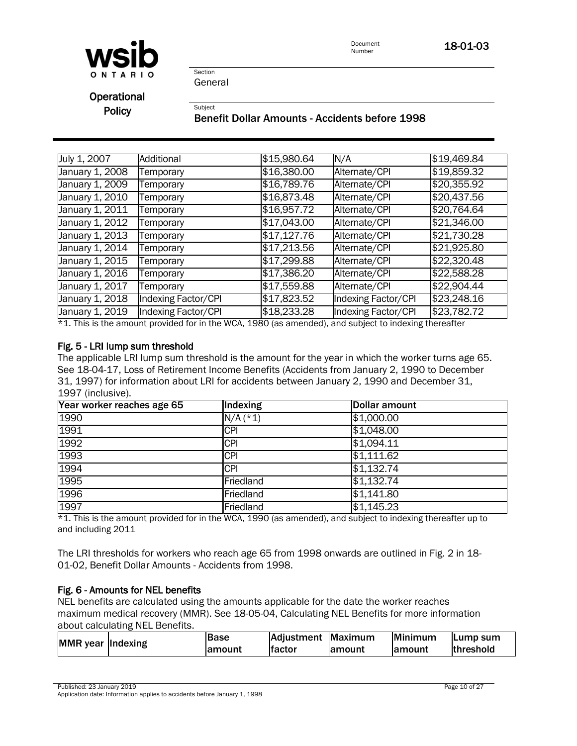

Document<br>Number 18-01-03

General

**Section** 

**Subject** 

Operational **Policy** 

Benefit Dollar Amounts - Accidents before 1998

| July 1, 2007    | Additional                 | \$15,980.64 | N/A                 | \$19,469.84 |
|-----------------|----------------------------|-------------|---------------------|-------------|
| January 1, 2008 | Temporary                  | \$16,380.00 | Alternate/CPI       | \$19,859.32 |
| January 1, 2009 | Temporary                  | \$16,789.76 | Alternate/CPI       | \$20,355.92 |
| January 1, 2010 | Temporary                  | \$16,873.48 | Alternate/CPI       | \$20,437.56 |
| January 1, 2011 | Temporary                  | \$16,957.72 | Alternate/CPI       | \$20,764.64 |
| January 1, 2012 | Temporary                  | \$17,043.00 | Alternate/CPI       | \$21,346.00 |
| January 1, 2013 | <b>Femporary</b>           | \$17,127.76 | Alternate/CPI       | \$21,730.28 |
| January 1, 2014 | Temporary                  | \$17,213.56 | Alternate/CPI       | \$21,925.80 |
| January 1, 2015 | Temporary                  | \$17,299.88 | Alternate/CPI       | \$22,320.48 |
| January 1, 2016 | Temporary                  | \$17,386.20 | Alternate/CPI       | \$22,588.28 |
| January 1, 2017 | Temporary                  | \$17,559.88 | Alternate/CPI       | \$22,904.44 |
| January 1, 2018 | <b>Indexing Factor/CPI</b> | \$17,823.52 | Indexing Factor/CPI | \$23,248.16 |
| January 1, 2019 | Indexing Factor/CPI        | \$18,233.28 | Indexing Factor/CPI | \$23,782.72 |

\*1. This is the amount provided for in the WCA, 1980 (as amended), and subject to indexing thereafter

#### Fig. 5 - LRI lump sum threshold

The applicable LRI lump sum threshold is the amount for the year in which the worker turns age 65. See 18-04-17, Loss of Retirement Income Benefits (Accidents from January 2, 1990 to December 31, 1997) for information about LRI for accidents between January 2, 1990 and December 31, 1997 (inclusive).

| Year worker reaches age 65 | Indexing   | Dollar amount |
|----------------------------|------------|---------------|
| 1990                       | $N/A$ (*1) | \$1,000.00    |
| 1991                       | <b>CPI</b> | \$1,048.00    |
| 1992                       | <b>CPI</b> | \$1,094.11    |
| 1993                       | <b>CPI</b> | \$1,111.62    |
| 1994                       | <b>CPI</b> | \$1,132.74    |
| 1995                       | Friedland  | \$1,132.74    |
| 1996                       | Friedland  | \$1,141.80    |
| 1997                       | Friedland  | \$1,145.23    |

\*1. This is the amount provided for in the WCA, 1990 (as amended), and subject to indexing thereafter up to and including 2011

The LRI thresholds for workers who reach age 65 from 1998 onwards are outlined in Fig. 2 in 18- 01-02, Benefit Dollar Amounts - Accidents from 1998.

#### Fig. 6 - Amounts for NEL benefits

NEL benefits are calculated using the amounts applicable for the date the worker reaches maximum medical recovery (MMR). See [18-05-04, Calculating NEL Benefits](policy:18-05-04) for more information about calculating NEL Benefits.

| MMR year Indexing | lBase   | Adjustment Maximum |         | Minimum | <b>ILump sum</b> |
|-------------------|---------|--------------------|---------|---------|------------------|
|                   | lamount | lfactor            | lamount | lamount | lthreshold       |

Published: 23 January 2019 Page 10 of 27

Application date: Information applies to accidents before January 1, 1998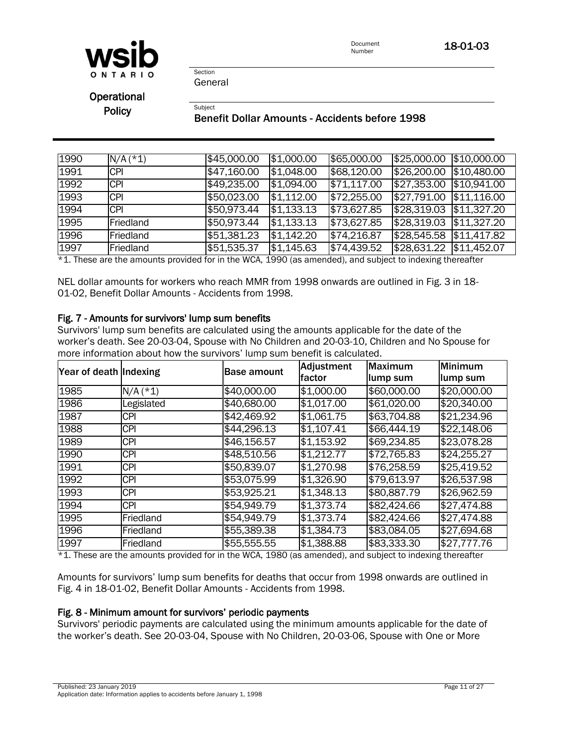

Document **18-01-03**<br>Number

**Section** General

**Subject** 

Operational

**Policy** 

#### Benefit Dollar Amounts - Accidents before 1998

| 1990 | $N/A$ (*1) | \$45,000.00 | \$1,000.00 | \$65,000.00         | \$25,000.00 \$10,000.00   |             |
|------|------------|-------------|------------|---------------------|---------------------------|-------------|
| 1991 | <b>CPI</b> | \$47,160.00 | \$1,048.00 | \$68,120.00         | \$26,200.00               | \$10,480.00 |
| 1992 | <b>CPI</b> | \$49,235.00 | \$1,094.00 | \$71,117.00         | \$27,353.00               | \$10,941.00 |
| 1993 | <b>CPI</b> | \$50,023.00 | \$1,112.00 | $\sqrt{$72,255.00}$ | $\sqrt{$27,791.00}$       | \$11,116.00 |
| 1994 | <b>CPI</b> | \$50,973.44 | \$1,133.13 | \$73,627.85         | \$28,319.03 \$11,327.20   |             |
| 1995 | Friedland  | \$50,973.44 | \$1,133.13 | \$73,627.85         | \$28,319.03               | \$11,327.20 |
| 1996 | Friedland  | \$51,381.23 | \$1,142.20 | \$74,216.87         | $$28,545.58$ $$11,417.82$ |             |
| 1997 | Friedland  | \$51,535.37 | \$1,145.63 | \$74,439.52         | \$28,631.22               | \$11,452.07 |

\*1. These are the amounts provided for in the WCA, 1990 (as amended), and subject to indexing thereafter

NEL dollar amounts for workers who reach MMR from 1998 onwards are outlined in Fig. 3 in 18- 01-02, Benefit Dollar Amounts - Accidents from 1998.

#### Fig. 7 - Amounts for survivors' lump sum benefits

Survivors' lump sum benefits are calculated using the amounts applicable for the date of the worker's death. See 20-03-04, Spouse with No Children and 20-03-10, Children and No Spouse for more information about how the survivors' lump sum benefit is calculated.

| Year of death Indexing |            | <b>Base amount</b> | <b>Adjustment</b> | <b>Maximum</b> | Minimum     |
|------------------------|------------|--------------------|-------------------|----------------|-------------|
|                        |            |                    | factor            | lump sum       | lump sum    |
| 1985                   | $N/A$ (*1) | \$40,000.00        | \$1,000.00        | \$60,000.00    | \$20,000.00 |
| 1986                   | Legislated | \$40,680.00        | \$1,017.00        | \$61,020.00    | \$20,340.00 |
| 1987                   | <b>CPI</b> | \$42,469.92        | \$1,061.75        | \$63,704.88    | \$21,234.96 |
| 1988                   | <b>CPI</b> | \$44,296.13        | \$1,107.41        | \$66,444.19    | \$22,148.06 |
| 1989                   | <b>CPI</b> | \$46,156.57        | \$1,153.92        | \$69,234.85    | \$23,078.28 |
| 1990                   | <b>CPI</b> | \$48,510.56        | \$1,212.77        | \$72,765.83    | \$24,255.27 |
| 1991                   | <b>CPI</b> | \$50,839.07        | \$1,270.98        | \$76,258.59    | \$25,419.52 |
| 1992                   | <b>CPI</b> | \$53,075.99        | \$1,326.90        | \$79,613.97    | \$26,537.98 |
| 1993                   | <b>CPI</b> | \$53,925.21        | \$1,348.13        | \$80,887.79    | \$26,962.59 |
| 1994                   | <b>CPI</b> | \$54,949.79        | \$1,373.74        | \$82,424.66    | \$27,474.88 |
| 1995                   | Friedland  | \$54,949.79        | \$1,373.74        | \$82,424.66    | \$27,474.88 |
| 1996                   | Friedland  | \$55,389.38        | \$1,384.73        | \$83,084.05    | \$27,694.68 |
| 1997                   | Friedland  | \$55,555.55        | \$1,388.88        | \$83,333.30    | \$27,777.76 |

\*1. These are the amounts provided for in the WCA, 1980 (as amended), and subject to indexing thereafter

Amounts for survivors' lump sum benefits for deaths that occur from 1998 onwards are outlined in Fig. 4 in 18-01-02, Benefit Dollar Amounts - Accidents from 1998.

#### Fig. 8 - Minimum amount for survivors' periodic payments

Survivors' periodic payments are calculated using the minimum amounts applicable for the date of the worker's death. See 20-03-04, Spouse with No Children, 20-03-06, Spouse with One or More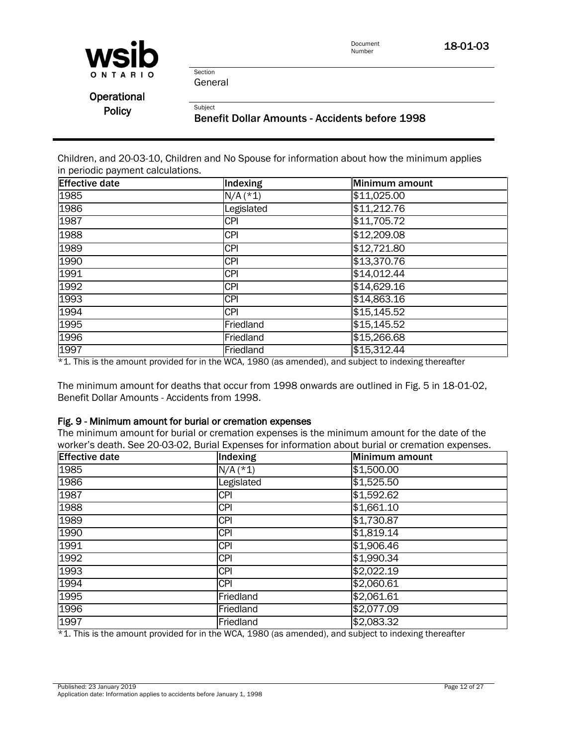

Document<br>Number 18-01-03

General

Section

**Subject** 

Operational **Policy** 

#### Benefit Dollar Amounts - Accidents before 1998

Children, and 20-03-10, Children and No Spouse for information about how the minimum applies in periodic payment calculations.

| <b>Effective date</b> | Indexing   | Minimum amount |
|-----------------------|------------|----------------|
| 1985                  | $N/A$ (*1) | \$11,025.00    |
| 1986                  | Legislated | \$11,212.76    |
| 1987                  | <b>CPI</b> | \$11,705.72    |
| 1988                  | <b>CPI</b> | \$12,209.08    |
| 1989                  | <b>CPI</b> | \$12,721.80    |
| 1990                  | <b>CPI</b> | \$13,370.76    |
| 1991                  | <b>CPI</b> | \$14,012.44    |
| 1992                  | <b>CPI</b> | \$14,629.16    |
| 1993                  | <b>CPI</b> | \$14,863.16    |
| 1994                  | <b>CPI</b> | \$15,145.52    |
| 1995                  | Friedland  | \$15,145.52    |
| 1996                  | Friedland  | \$15,266.68    |
| 1997                  | Friedland  | \$15,312.44    |

\*1. This is the amount provided for in the WCA, 1980 (as amended), and subject to indexing thereafter

The minimum amount for deaths that occur from 1998 onwards are outlined in Fig. 5 in 18-01-02, Benefit Dollar Amounts - Accidents from 1998.

#### Fig. 9 - Minimum amount for burial or cremation expenses

The minimum amount for burial or cremation expenses is the minimum amount for the date of the worker's death. See [20-03-02, Burial Expenses](policy:20-03-02) for information about burial or cremation expenses.

| <b>Effective date</b> | Indexing   | Minimum amount |
|-----------------------|------------|----------------|
| 1985                  | $N/A$ (*1) | \$1,500.00     |
| 1986                  | Legislated | \$1,525.50     |
| 1987                  | <b>CPI</b> | \$1,592.62     |
| 1988                  | <b>CPI</b> | \$1,661.10     |
| 1989                  | <b>CPI</b> | \$1,730.87     |
| 1990                  | <b>CPI</b> | \$1,819.14     |
| 1991                  | <b>CPI</b> | \$1,906.46     |
| 1992                  | <b>CPI</b> | \$1,990.34     |
| 1993                  | <b>CPI</b> | \$2,022.19     |
| 1994                  | <b>CPI</b> | \$2,060.61     |
| 1995                  | Friedland  | \$2,061.61     |
| 1996                  | Friedland  | \$2,077.09     |
| 1997                  | Friedland  | \$2,083.32     |

 $*1$ . This is the amount provided for in the WCA, 1980 (as amended), and subject to indexing thereafter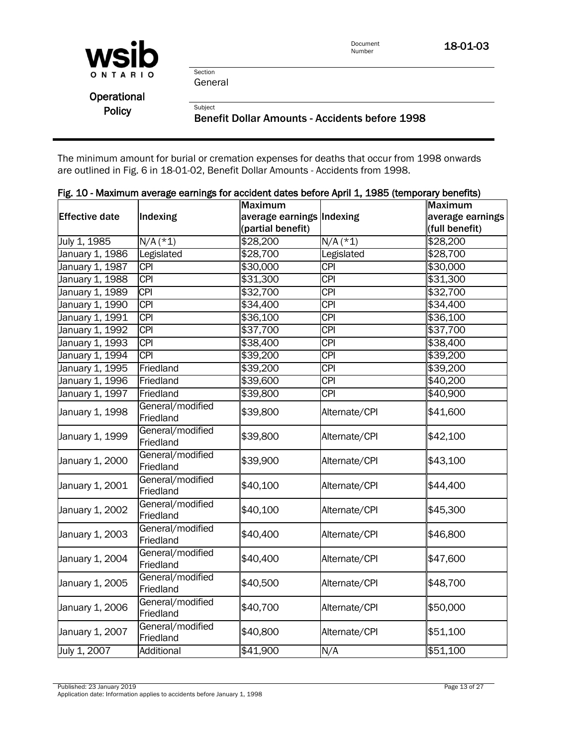

18-01-03

Section General

**Subject** 

**Operational** Policy

Benefit Dollar Amounts - Accidents before 1998

The minimum amount for burial or cremation expenses for deaths that occur from 1998 onwards are outlined in Fig. 6 in 18-01-02, Benefit Dollar Amounts - Accidents from 1998.

|                       |                               | <b>Maximum</b>            |                  | <b>Maximum</b>   |
|-----------------------|-------------------------------|---------------------------|------------------|------------------|
| <b>Effective date</b> | Indexing                      | average earnings Indexing |                  | average earnings |
|                       |                               | (partial benefit)         |                  | (full benefit)   |
| July 1, 1985          | $N/A$ (*1)                    | \$28,200                  | $N/A$ (*1)       | \$28,200         |
| January 1, 1986       | Legislated                    | \$28,700                  | Legislated       | \$28,700         |
| January 1, 1987       | $\overline{CPI}$              | \$30,000                  | $\overline{CPI}$ | \$30,000         |
| January 1, 1988       | $\overline{CPI}$              | \$31,300                  | <b>CPI</b>       | \$31,300         |
| January 1, 1989       | <b>CPI</b>                    | \$32,700                  | $\overline{CPI}$ | \$32,700         |
| January 1, 1990       | $\overline{CPI}$              | \$34,400                  | <b>CPI</b>       | \$34,400         |
| January 1, 1991       | <b>CPI</b>                    | \$36,100                  | <b>CPI</b>       | \$36,100         |
| January 1, 1992       | <b>CPI</b>                    | \$37,700                  | <b>CPI</b>       | \$37,700         |
| January 1, 1993       | <b>CPI</b>                    | \$38,400                  | $\overline{CPI}$ | \$38,400         |
| January 1, 1994       | <b>CPI</b>                    | \$39,200                  | <b>CPI</b>       | \$39,200         |
| January 1, 1995       | Friedland                     | \$39,200                  | <b>CPI</b>       | \$39,200         |
| January 1, 1996       | Friedland                     | \$39,600                  | <b>CPI</b>       | \$40,200         |
| January 1, 1997       | Friedland                     | \$39,800                  | <b>CPI</b>       | \$40,900         |
| January 1, 1998       | General/modified<br>Friedland | \$39,800                  | Alternate/CPI    | \$41,600         |
| January 1, 1999       | General/modified<br>Friedland | \$39,800                  | Alternate/CPI    | \$42,100         |
| January 1, 2000       | General/modified<br>Friedland | \$39,900                  | Alternate/CPI    | \$43,100         |
| January 1, 2001       | General/modified<br>Friedland | \$40,100                  | Alternate/CPI    | \$44,400         |
| January 1, 2002       | General/modified<br>Friedland | \$40,100                  | Alternate/CPI    | \$45,300         |
| January 1, 2003       | General/modified<br>Friedland | \$40,400                  | Alternate/CPI    | \$46,800         |
| January 1, 2004       | General/modified<br>Friedland | \$40,400                  | Alternate/CPI    | \$47,600         |
| January 1, 2005       | General/modified<br>Friedland | \$40,500                  | Alternate/CPI    | \$48,700         |
| January 1, 2006       | General/modified<br>Friedland | \$40,700                  | Alternate/CPI    | \$50,000         |
| January 1, 2007       | General/modified<br>Friedland | \$40,800                  | Alternate/CPI    | \$51,100         |
| July 1, 2007          | Additional                    | \$41,900                  | N/A              | \$51,100         |

#### Fig. 10 - Maximum average earnings for accident dates before April 1, 1985 (temporary benefits)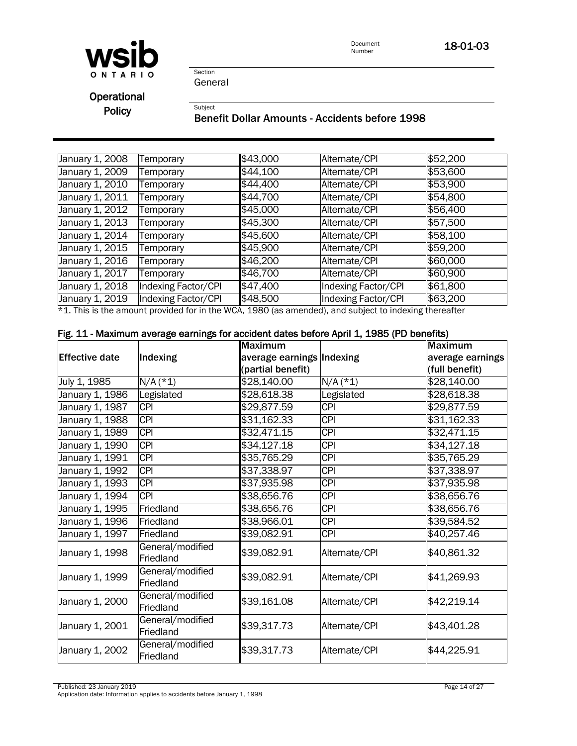

18-01-03

Section General

Subject

**Operational** Policy

#### Benefit Dollar Amounts - Accidents before 1998

| January 1, 2008 | <b>Femporary</b>           | \$43,000 | Alternate/CPI                                                                                                            | \$52,200 |
|-----------------|----------------------------|----------|--------------------------------------------------------------------------------------------------------------------------|----------|
| January 1, 2009 | Temporary                  | \$44,100 | Alternate/CPI                                                                                                            | \$53,600 |
| January 1, 2010 | Temporary                  | \$44,400 | Alternate/CPI                                                                                                            | \$53,900 |
| January 1, 2011 | <b>Femporary</b>           | \$44,700 | Alternate/CPI                                                                                                            | \$54,800 |
| January 1, 2012 | <b>Femporary</b>           | \$45,000 | Alternate/CPI                                                                                                            | \$56,400 |
| January 1, 2013 | Temporary                  | \$45,300 | Alternate/CPI                                                                                                            | \$57,500 |
| January 1, 2014 | <b>Femporary</b>           | \$45,600 | Alternate/CPI                                                                                                            | \$58,100 |
| January 1, 2015 | Temporary                  | \$45,900 | Alternate/CPI                                                                                                            | \$59,200 |
| January 1, 2016 | Temporary                  | \$46,200 | Alternate/CPI                                                                                                            | \$60,000 |
| January 1, 2017 | Temporary                  | \$46,700 | Alternate/CPI                                                                                                            | \$60,900 |
| January 1, 2018 | Indexing Factor/CPI        | \$47,400 | Indexing Factor/CPI                                                                                                      | \$61,800 |
| January 1, 2019 | <b>Indexing Factor/CPI</b> | \$48,500 | Indexing Factor/CPI                                                                                                      | \$63,200 |
|                 |                            |          | سمائة ومسوحاته وسنسوخ والمتحاف والمستخدمات والمواجهة والمستحيل المتحاف والمستحدث والمستحدث والمستحدث والمستحدث والمستحدث |          |

\*1. This is the amount provided for in the WCA, 1980 (as amended), and subject to indexing thereafter

#### Fig. 11 - Maximum average earnings for accident dates before April 1, 1985 (PD benefits)

|                       |                               | <b>Maximum</b>            |                  | <b>Maximum</b>   |
|-----------------------|-------------------------------|---------------------------|------------------|------------------|
| <b>Effective date</b> | Indexing                      | average earnings Indexing |                  | average earnings |
|                       |                               | (partial benefit)         |                  | (full benefit)   |
| July 1, 1985          | $N/A$ (*1)                    | \$28,140.00               | $N/A$ (*1)       | \$28,140.00      |
| January 1, 1986       | Legislated                    | \$28,618.38               | Legislated       | \$28,618.38      |
| January 1, 1987       | <b>CPI</b>                    | \$29,877.59               | $\overline{CPI}$ | \$29,877.59      |
| January 1, 1988       | <b>CPI</b>                    | \$31,162.33               | <b>CPI</b>       | \$31,162.33      |
| January 1, 1989       | <b>CPI</b>                    | \$32,471.15               | <b>CPI</b>       | \$32,471.15      |
| January 1, 1990       | <b>CPI</b>                    | \$34,127.18               | <b>CPI</b>       | \$34,127.18      |
| January 1, 1991       | <b>CPI</b>                    | \$35,765.29               | <b>CPI</b>       | \$35,765.29      |
| January 1, 1992       | <b>CPI</b>                    | \$37,338.97               | <b>CPI</b>       | \$37,338.97      |
| January 1, 1993       | <b>CPI</b>                    | \$37,935.98               | <b>CPI</b>       | \$37,935.98      |
| January 1, 1994       | <b>CPI</b>                    | \$38,656.76               | <b>CPI</b>       | \$38,656.76      |
| January 1, 1995       | Friedland                     | \$38,656.76               | <b>CPI</b>       | \$38,656.76      |
| January 1, 1996       | Friedland                     | \$38,966.01               | <b>CPI</b>       | \$39,584.52      |
| January 1, 1997       | Friedland                     | \$39,082.91               | <b>CPI</b>       | \$40,257.46      |
| January 1, 1998       | General/modified<br>Friedland | \$39,082.91               | Alternate/CPI    | \$40,861.32      |
| January 1, 1999       | General/modified<br>Friedland | \$39,082.91               | Alternate/CPI    | \$41,269.93      |
| January 1, 2000       | General/modified<br>Friedland | \$39,161.08               | Alternate/CPI    | \$42,219.14      |
| January 1, 2001       | General/modified<br>Friedland | \$39,317.73               | Alternate/CPI    | \$43,401.28      |
| January 1, 2002       | General/modified<br>Friedland | \$39,317.73               | Alternate/CPI    | \$44,225.91      |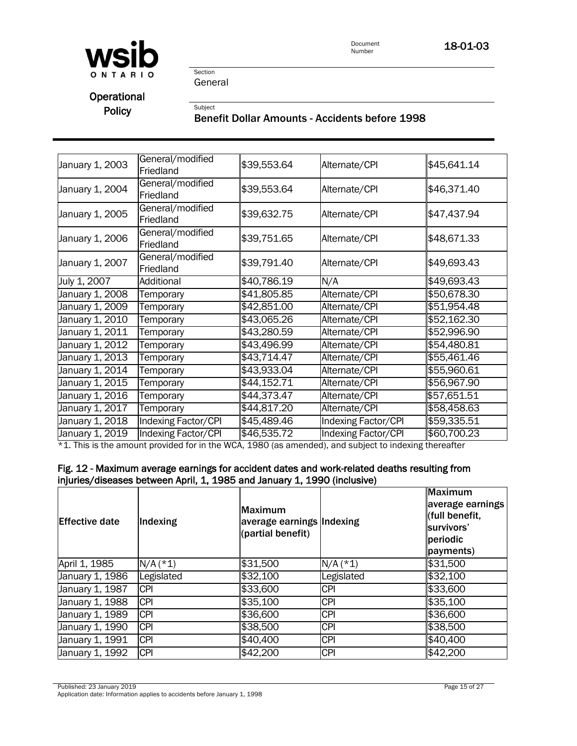

Document<br>Number 18-01-03

Section General

**Subject** 

## **Operational** Policy

#### Benefit Dollar Amounts - Accidents before 1998

| January 1, 2003 | General/modified<br>Friedland | \$39,553.64 | Alternate/CPI       | \$45,641.14 |
|-----------------|-------------------------------|-------------|---------------------|-------------|
| January 1, 2004 | General/modified<br>Friedland | \$39,553.64 | Alternate/CPI       | \$46,371.40 |
| January 1, 2005 | General/modified<br>Friedland | \$39,632.75 | Alternate/CPI       | \$47,437.94 |
| January 1, 2006 | General/modified<br>Friedland | \$39,751.65 | Alternate/CPI       | \$48,671.33 |
| January 1, 2007 | General/modified<br>Friedland | \$39,791.40 | Alternate/CPI       | \$49,693.43 |
| July 1, 2007    | Additional                    | \$40,786.19 | N/A                 | \$49,693.43 |
| January 1, 2008 | Temporary                     | \$41,805.85 | Alternate/CPI       | \$50,678.30 |
| January 1, 2009 | Temporary                     | \$42,851.00 | Alternate/CPI       | \$51,954.48 |
| January 1, 2010 | Temporary                     | \$43,065.26 | Alternate/CPI       | \$52,162.30 |
| January 1, 2011 | Temporary                     | \$43,280.59 | Alternate/CPI       | \$52,996.90 |
| January 1, 2012 | Temporary                     | \$43,496.99 | Alternate/CPI       | \$54,480.81 |
| January 1, 2013 | Temporary                     | \$43,714.47 | Alternate/CPI       | \$55,461.46 |
| January 1, 2014 | Temporary                     | \$43,933.04 | Alternate/CPI       | \$55,960.61 |
| January 1, 2015 | Temporary                     | \$44,152.71 | Alternate/CPI       | \$56,967.90 |
| January 1, 2016 | Temporary                     | \$44,373.47 | Alternate/CPI       | \$57,651.51 |
| January 1, 2017 | Temporary                     | \$44,817.20 | Alternate/CPI       | \$58,458.63 |
| January 1, 2018 | Indexing Factor/CPI           | \$45,489.46 | Indexing Factor/CPI | \$59,335.51 |
| January 1, 2019 | Indexing Factor/CPI           | \$46,535.72 | Indexing Factor/CPI | \$60,700.23 |

\*1. This is the amount provided for in the WCA, 1980 (as amended), and subject to indexing thereafter

#### Fig. 12 - Maximum average earnings for accident dates and work-related deaths resulting from injuries/diseases between April, 1, 1985 and January 1, 1990 (inclusive)

| <b>IEffective date</b> | Indexing   | Maximum<br>average earnings Indexing<br>(partial benefit) |            | <b>Maximum</b><br>average earnings<br>(full benefit,<br>survivors'<br>periodic<br>payments) |
|------------------------|------------|-----------------------------------------------------------|------------|---------------------------------------------------------------------------------------------|
| April 1, 1985          | $N/A$ (*1) | \$31,500                                                  | $N/A$ (*1) | \$31,500                                                                                    |
| January 1, 1986        | Legislated | \$32,100                                                  | Legislated | \$32,100                                                                                    |
| January 1, 1987        | <b>CPI</b> | \$33,600                                                  | <b>CPI</b> | \$33,600                                                                                    |
| January 1, 1988        | <b>CPI</b> | \$35,100                                                  | <b>CPI</b> | \$35,100                                                                                    |
| January 1, 1989        | <b>CPI</b> | \$36,600                                                  | <b>CPI</b> | \$36,600                                                                                    |
| January 1, 1990        | <b>CPI</b> | \$38,500                                                  | <b>CPI</b> | \$38,500                                                                                    |
| January 1, 1991        | <b>CPI</b> | \$40,400                                                  | <b>CPI</b> | \$40,400                                                                                    |
| January 1, 1992        | <b>CPI</b> | \$42,200                                                  | <b>CPI</b> | \$42,200                                                                                    |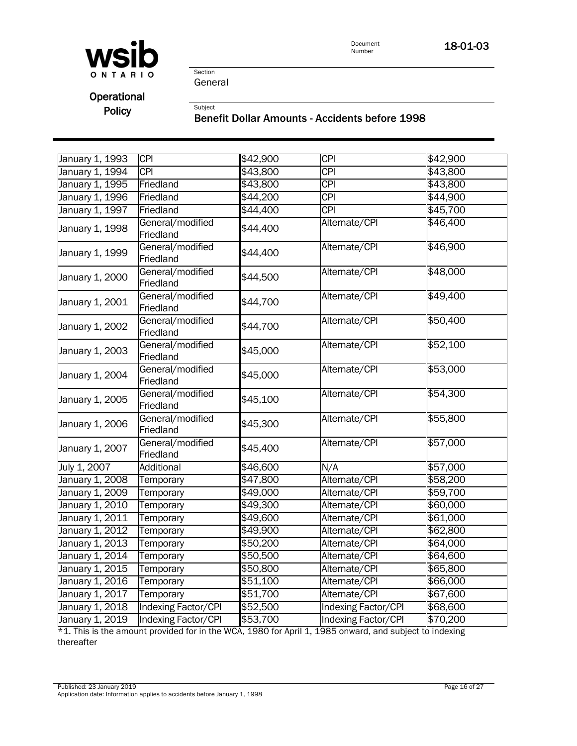

18-01-03

Section General

Subject

# **Operational**

Policy

#### Benefit Dollar Amounts - Accidents before 1998

| January 1, 1993 | <b>CPI</b>                    | \$42,900 | <b>CPI</b>              | \$42,900         |
|-----------------|-------------------------------|----------|-------------------------|------------------|
| January 1, 1994 | <b>CPI</b>                    | \$43,800 | $\overline{\text{CPI}}$ | \$43,800         |
| January 1, 1995 | Friedland                     | \$43,800 | <b>CPI</b>              | \$43,800         |
| January 1, 1996 | Friedland                     | \$44,200 | <b>CPI</b>              | \$44,900         |
| January 1, 1997 | Friedland                     | \$44,400 | <b>CPI</b>              | \$45,700         |
| January 1, 1998 | General/modified<br>Friedland | \$44,400 | Alternate/CPI           | \$46,400         |
| January 1, 1999 | General/modified<br>Friedland | \$44,400 | Alternate/CPI           | \$46,900         |
| January 1, 2000 | General/modified<br>Friedland | \$44,500 | Alternate/CPI           | $\sqrt{$48,000}$ |
| January 1, 2001 | General/modified<br>Friedland | \$44,700 | Alternate/CPI           | \$49,400         |
| January 1, 2002 | General/modified<br>Friedland | \$44,700 | Alternate/CPI           | \$50,400         |
| January 1, 2003 | General/modified<br>Friedland | \$45,000 | Alternate/CPI           | \$52,100         |
| January 1, 2004 | General/modified<br>Friedland | \$45,000 | Alternate/CPI           | \$53,000         |
| January 1, 2005 | General/modified<br>Friedland | \$45,100 | Alternate/CPI           | \$54,300         |
| January 1, 2006 | General/modified<br>Friedland | \$45,300 | Alternate/CPI           | \$55,800         |
| January 1, 2007 | General/modified<br>Friedland | \$45,400 | Alternate/CPI           | \$57,000         |
| July 1, 2007    | <b>Additional</b>             | \$46,600 | N/A                     | \$57,000         |
| January 1, 2008 | Temporary                     | \$47,800 | Alternate/CPI           | \$58,200         |
| January 1, 2009 | Temporary                     | \$49,000 | Alternate/CPI           | \$59,700         |
| January 1, 2010 | Temporary                     | \$49,300 | Alternate/CPI           | \$60,000         |
| January 1, 2011 | Temporary                     | \$49,600 | Alternate/CPI           | \$61,000         |
| January 1, 2012 | Temporary                     | \$49,900 | Alternate/CPI           | \$62,800         |
| January 1, 2013 | Temporary                     | \$50,200 | Alternate/CPI           | \$64,000         |
| January 1, 2014 | Temporary                     | \$50,500 | Alternate/CPI           | \$64,600         |
| January 1, 2015 | Temporary                     | \$50,800 | Alternate/CPI           | \$65,800         |
| January 1, 2016 | Temporary                     | \$51,100 | Alternate/CPI           | \$66,000         |
| January 1, 2017 | Temporary                     | \$51,700 | Alternate/CPI           | \$67,600         |
| January 1, 2018 | Indexing Factor/CPI           | \$52,500 | Indexing Factor/CPI     | \$68,600         |
| January 1, 2019 | Indexing Factor/CPI           | \$53,700 | Indexing Factor/CPI     | \$70,200         |

\*1. This is the amount provided for in the WCA, 1980 for April 1, 1985 onward, and subject to indexing thereafter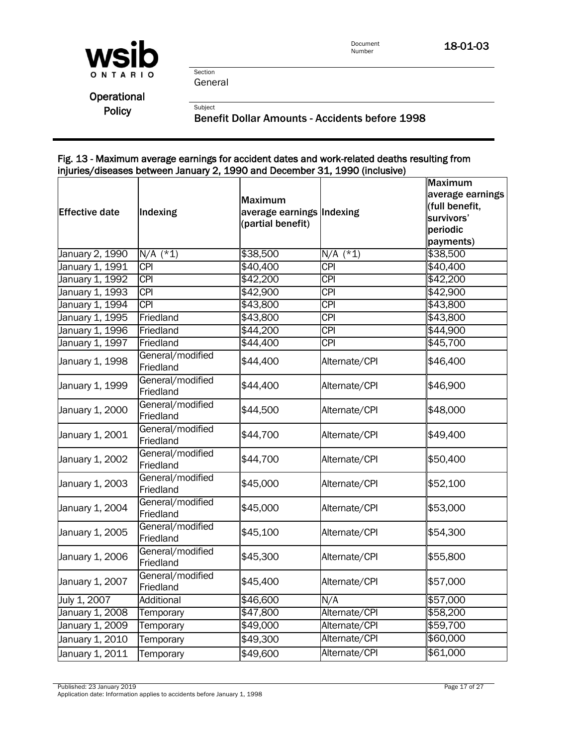

18-01-03

Section General

Subject

**Operational** Policy

Benefit Dollar Amounts - Accidents before 1998

#### Fig. 13 - Maximum average earnings for accident dates and work-related deaths resulting from injuries/diseases between January 2, 1990 and December 31, 1990 (inclusive)

| <b>Effective date</b> | Indexing                      | Maximum<br>average earnings Indexing<br>(partial benefit) |                  | <b>Maximum</b><br>average earnings<br>(full benefit,<br>survivors'<br>periodic<br>payments) |
|-----------------------|-------------------------------|-----------------------------------------------------------|------------------|---------------------------------------------------------------------------------------------|
| January 2, 1990       | $N/A$ (*1)                    | \$38,500                                                  | $N/A$ (*1)       | \$38,500                                                                                    |
| January 1, 1991       | <b>CPI</b>                    | \$40,400                                                  | <b>CPI</b>       | \$40,400                                                                                    |
| January 1, 1992       | <b>CPI</b>                    | \$42,200                                                  | <b>CPI</b>       | \$42,200                                                                                    |
| January 1, 1993       | <b>CPI</b>                    | \$42,900                                                  | <b>CPI</b>       | \$42,900                                                                                    |
| January 1, 1994       | <b>CPI</b>                    | \$43,800                                                  | <b>CPI</b>       | \$43,800                                                                                    |
| January 1, 1995       | Friedland                     | \$43,800                                                  | <b>CPI</b>       | \$43,800                                                                                    |
| January 1, 1996       | Friedland                     | \$44,200                                                  | $\overline{CPI}$ | \$44,900                                                                                    |
| January 1, 1997       | Friedland                     | \$44,400                                                  | <b>CPI</b>       | \$45,700                                                                                    |
| January 1, 1998       | General/modified<br>Friedland | \$44,400                                                  | Alternate/CPI    | \$46,400                                                                                    |
| January 1, 1999       | General/modified<br>Friedland | \$44,400                                                  | Alternate/CPI    | \$46,900                                                                                    |
| January 1, 2000       | General/modified<br>Friedland | \$44,500                                                  | Alternate/CPI    | \$48,000                                                                                    |
| January 1, 2001       | General/modified<br>Friedland | \$44,700                                                  | Alternate/CPI    | \$49,400                                                                                    |
| January 1, 2002       | General/modified<br>Friedland | \$44,700                                                  | Alternate/CPI    | \$50,400                                                                                    |
| January 1, 2003       | General/modified<br>Friedland | \$45,000                                                  | Alternate/CPI    | \$52,100                                                                                    |
| January 1, 2004       | General/modified<br>Friedland | \$45,000                                                  | Alternate/CPI    | \$53,000                                                                                    |
| January 1, 2005       | General/modified<br>Friedland | \$45,100                                                  | Alternate/CPI    | \$54,300                                                                                    |
| January 1, 2006       | General/modified<br>Friedland | \$45,300                                                  | Alternate/CPI    | \$55,800                                                                                    |
| January 1, 2007       | General/modified<br>Friedland | \$45,400                                                  | Alternate/CPI    | \$57,000                                                                                    |
| July 1, 2007          | Additional                    | \$46,600                                                  | N/A              | \$57,000                                                                                    |
| January 1, 2008       | Temporary                     | \$47,800                                                  | Alternate/CPI    | \$58,200                                                                                    |
| January 1, 2009       | Temporary                     | \$49,000                                                  | Alternate/CPI    | \$59,700                                                                                    |
| January 1, 2010       | Temporary                     | \$49,300                                                  | Alternate/CPI    | \$60,000                                                                                    |
| January 1, 2011       | Temporary                     | \$49,600                                                  | Alternate/CPI    | \$61,000                                                                                    |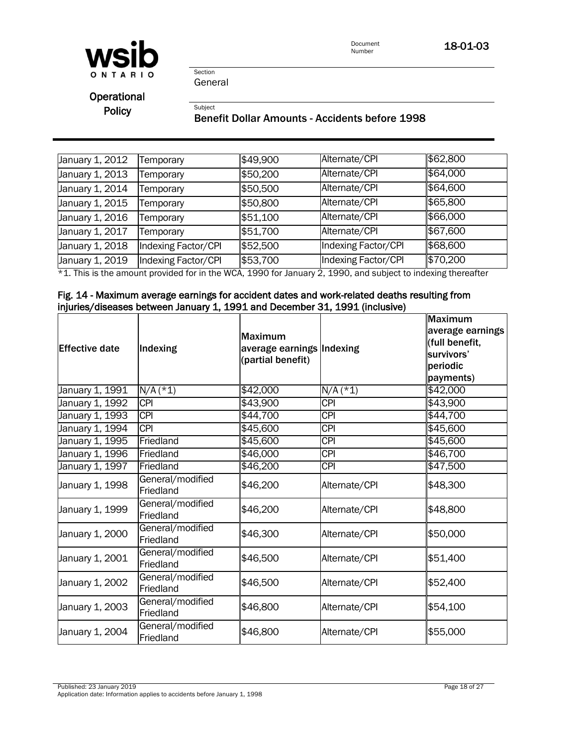

Document<br>Number 18-01-03

Section General

**Subject** 

**Operational** Policy

#### Benefit Dollar Amounts - Accidents before 1998

| January 1, 2012 | Temporary           | \$49,900 | Alternate/CPI       | \$62,800 |
|-----------------|---------------------|----------|---------------------|----------|
| January 1, 2013 | Temporary           | \$50,200 | Alternate/CPI       | \$64,000 |
| January 1, 2014 | Temporary           | \$50,500 | Alternate/CPI       | \$64,600 |
| January 1, 2015 | Temporary           | \$50,800 | Alternate/CPI       | \$65,800 |
| January 1, 2016 | Temporary           | \$51,100 | Alternate/CPI       | \$66,000 |
| January 1, 2017 | Temporary           | \$51,700 | Alternate/CPI       | \$67,600 |
| January 1, 2018 | Indexing Factor/CPI | \$52,500 | Indexing Factor/CPI | \$68,600 |
| January 1, 2019 | Indexing Factor/CPI | \$53,700 | Indexing Factor/CPI | \$70,200 |

\*1. This is the amount provided for in the WCA, 1990 for January 2, 1990, and subject to indexing thereafter

#### Fig. 14 - Maximum average earnings for accident dates and work-related deaths resulting from injuries/diseases between January 1, 1991 and December 31, 1991 (inclusive)

| <b>Effective date</b> | Indexing                      | <b>Maximum</b><br>average earnings Indexing<br>(partial benefit) |                  | <b>Maximum</b><br>average earnings<br>(full benefit,<br>survivors'<br>periodic<br>payments) |
|-----------------------|-------------------------------|------------------------------------------------------------------|------------------|---------------------------------------------------------------------------------------------|
| January 1, 1991       | $N/A$ (*1)                    | \$42,000                                                         | $N/A$ (*1)       | \$42,000                                                                                    |
| January 1, 1992       | <b>CPI</b>                    | \$43,900                                                         | <b>CPI</b>       | \$43,900                                                                                    |
| January 1, 1993       | <b>CPI</b>                    | \$44,700                                                         | $\overline{CPI}$ | \$44,700                                                                                    |
| January 1, 1994       | <b>CPI</b>                    | \$45,600                                                         | <b>CPI</b>       | \$45,600                                                                                    |
| January 1, 1995       | Friedland                     | \$45,600                                                         | $\overline{CPI}$ | \$45,600                                                                                    |
| January 1, 1996       | Friedland                     | \$46,000                                                         | $\overline{CPI}$ | \$46,700                                                                                    |
| January 1, 1997       | Friedland                     | \$46,200                                                         | <b>CPI</b>       | \$47,500                                                                                    |
| January 1, 1998       | General/modified<br>Friedland | \$46,200                                                         | Alternate/CPI    | \$48,300                                                                                    |
| January 1, 1999       | General/modified<br>Friedland | \$46,200                                                         | Alternate/CPI    | \$48,800                                                                                    |
| January 1, 2000       | General/modified<br>Friedland | \$46,300                                                         | Alternate/CPI    | \$50,000                                                                                    |
| January 1, 2001       | General/modified<br>Friedland | \$46,500                                                         | Alternate/CPI    | \$51,400                                                                                    |
| January 1, 2002       | General/modified<br>Friedland | \$46,500                                                         | Alternate/CPI    | \$52,400                                                                                    |
| January 1, 2003       | General/modified<br>Friedland | \$46,800                                                         | Alternate/CPI    | \$54,100                                                                                    |
| January 1, 2004       | General/modified<br>Friedland | \$46,800                                                         | Alternate/CPI    | \$55,000                                                                                    |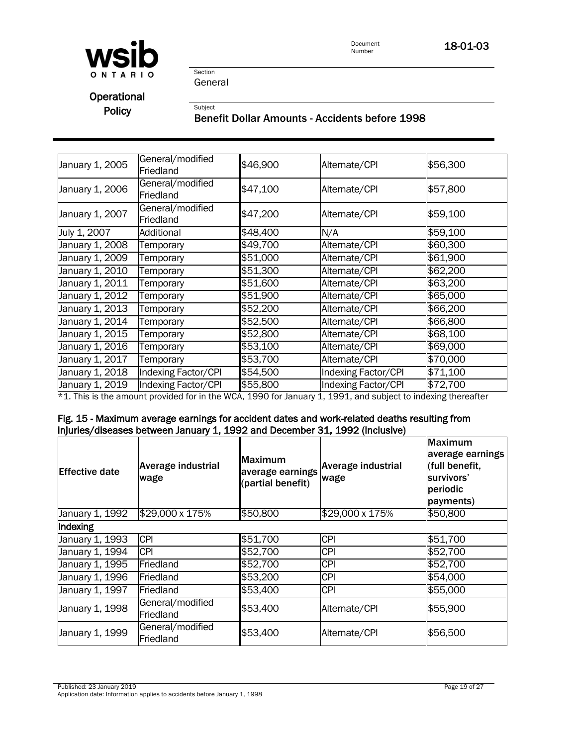

Document<br>Number 18-01-03

Section General

Subject

**Operational** Policy

#### Benefit Dollar Amounts - Accidents before 1998

| January 1, 2005 | General/modified<br>Friedland | \$46,900 | Alternate/CPI                                                                                                                                                                                   | \$56,300 |
|-----------------|-------------------------------|----------|-------------------------------------------------------------------------------------------------------------------------------------------------------------------------------------------------|----------|
| January 1, 2006 | General/modified<br>Friedland | \$47,100 | Alternate/CPI                                                                                                                                                                                   | \$57,800 |
| January 1, 2007 | General/modified<br>Friedland | \$47,200 | Alternate/CPI                                                                                                                                                                                   | \$59,100 |
| July 1, 2007    | Additional                    | \$48,400 | N/A                                                                                                                                                                                             | \$59,100 |
| January 1, 2008 | Temporary                     | \$49,700 | Alternate/CPI                                                                                                                                                                                   | \$60,300 |
| January 1, 2009 | Temporary                     | \$51,000 | Alternate/CPI                                                                                                                                                                                   | \$61,900 |
| January 1, 2010 | Temporary                     | \$51,300 | Alternate/CPI                                                                                                                                                                                   | \$62,200 |
| January 1, 2011 | Temporary                     | \$51,600 | Alternate/CPI                                                                                                                                                                                   | \$63,200 |
| January 1, 2012 | Temporary                     | \$51,900 | Alternate/CPI                                                                                                                                                                                   | \$65,000 |
| January 1, 2013 | Temporary                     | \$52,200 | Alternate/CPI                                                                                                                                                                                   | \$66,200 |
| January 1, 2014 | Temporary                     | \$52,500 | Alternate/CPI                                                                                                                                                                                   | \$66,800 |
| January 1, 2015 | Temporary                     | \$52,800 | Alternate/CPI                                                                                                                                                                                   | \$68,100 |
| January 1, 2016 | Temporary                     | \$53,100 | Alternate/CPI                                                                                                                                                                                   | \$69,000 |
| January 1, 2017 | Temporary                     | \$53,700 | Alternate/CPI                                                                                                                                                                                   | \$70,000 |
| January 1, 2018 | Indexing Factor/CPI           | \$54,500 | Indexing Factor/CPI                                                                                                                                                                             | \$71,100 |
| January 1, 2019 | Indexing Factor/CPI           | \$55,800 | Indexing Factor/CPI<br>$\mathcal{A}$ This is the concernst provided for in the MIOA $\mathcal{A}$ OOA for longing $\mathcal{A}$ $\mathcal{A}$ OOA can be absoluted in deviated to be applicated | \$72,700 |

\*1. This is the amount provided for in the WCA, 1990 for January 1, 1991, and subject to indexing thereafter

#### Fig. 15 - Maximum average earnings for accident dates and work-related deaths resulting from injuries/diseases between January 1, 1992 and December 31, 1992 (inclusive)

| <b>IEffective date</b> | Average industrial<br>wage    | <b>Maximum</b><br>average earnings<br>(partial benefit) | <b>Average industrial</b><br>wage | <b>Maximum</b><br>average earnings<br>(full benefit,<br>survivors'<br>periodic<br>payments) |  |  |
|------------------------|-------------------------------|---------------------------------------------------------|-----------------------------------|---------------------------------------------------------------------------------------------|--|--|
| January 1, 1992        | \$29,000 x 175%               | \$50,800                                                | \$29,000 x 175%                   | \$50,800                                                                                    |  |  |
| Indexing               |                               |                                                         |                                   |                                                                                             |  |  |
| January 1, 1993        | <b>CPI</b>                    | \$51,700                                                | <b>CPI</b>                        | \$51,700                                                                                    |  |  |
| January 1, 1994        | <b>CPI</b>                    | \$52,700                                                | <b>CPI</b>                        | \$52,700                                                                                    |  |  |
| January 1, 1995        | Friedland                     | \$52,700                                                | <b>CPI</b>                        | \$52,700                                                                                    |  |  |
| January 1, 1996        | Friedland                     | \$53,200                                                | <b>CPI</b>                        | \$54,000                                                                                    |  |  |
| January 1, 1997        | Friedland                     | \$53,400                                                | <b>CPI</b>                        | \$55,000                                                                                    |  |  |
| January 1, 1998        | General/modified<br>Friedland | \$53,400                                                | Alternate/CPI                     | \$55,900                                                                                    |  |  |
| January 1, 1999        | General/modified<br>Friedland | \$53,400                                                | Alternate/CPI                     | \$56,500                                                                                    |  |  |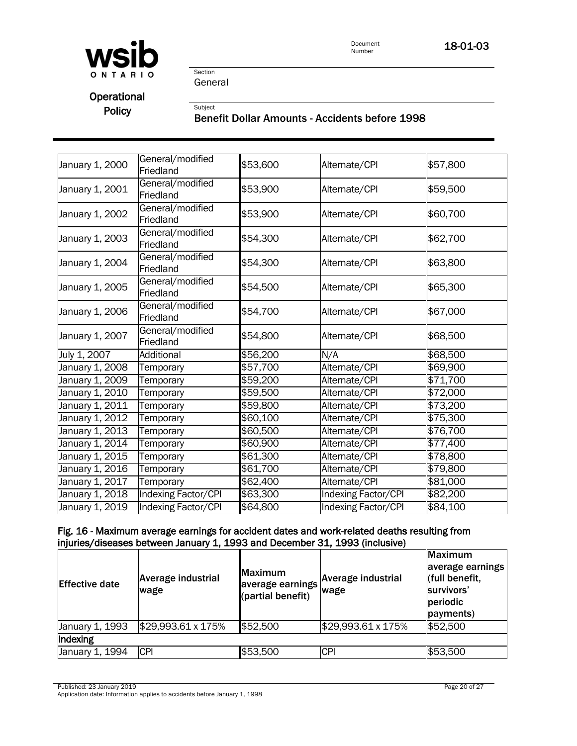

18-01-03

Section General

Subject

## **Operational** Policy

## Benefit Dollar Amounts - Accidents before 1998

| January 1, 2000 | General/modified<br>Friedland | \$53,600 | Alternate/CPI       | \$57,800 |
|-----------------|-------------------------------|----------|---------------------|----------|
| January 1, 2001 | General/modified<br>Friedland | \$53,900 | Alternate/CPI       | \$59,500 |
| January 1, 2002 | General/modified<br>Friedland | \$53,900 | Alternate/CPI       | \$60,700 |
| January 1, 2003 | General/modified<br>Friedland | \$54,300 | Alternate/CPI       | \$62,700 |
| January 1, 2004 | General/modified<br>Friedland | \$54,300 | Alternate/CPI       | \$63,800 |
| January 1, 2005 | General/modified<br>Friedland | \$54,500 | Alternate/CPI       | \$65,300 |
| January 1, 2006 | General/modified<br>Friedland | \$54,700 | Alternate/CPI       | \$67,000 |
| January 1, 2007 | General/modified<br>Friedland | \$54,800 | Alternate/CPI       | \$68,500 |
| July 1, 2007    | Additional                    | \$56,200 | N/A                 | \$68,500 |
| January 1, 2008 | Temporary                     | \$57,700 | Alternate/CPI       | \$69,900 |
| January 1, 2009 | Temporary                     | \$59,200 | Alternate/CPI       | \$71,700 |
| January 1, 2010 | Temporary                     | \$59,500 | Alternate/CPI       | \$72,000 |
| January 1, 2011 | Temporary                     | \$59,800 | Alternate/CPI       | \$73,200 |
| January 1, 2012 | Temporary                     | \$60,100 | Alternate/CPI       | \$75,300 |
| January 1, 2013 | Temporary                     | \$60,500 | Alternate/CPI       | \$76,700 |
| January 1, 2014 | Temporary                     | \$60,900 | Alternate/CPI       | \$77,400 |
| January 1, 2015 | Temporary                     | \$61,300 | Alternate/CPI       | \$78,800 |
| January 1, 2016 | Temporary                     | \$61,700 | Alternate/CPI       | \$79,800 |
| January 1, 2017 | Temporary                     | \$62,400 | Alternate/CPI       | \$81,000 |
| January 1, 2018 | Indexing Factor/CPI           | \$63,300 | Indexing Factor/CPI | \$82,200 |
| January 1, 2019 | <b>Indexing Factor/CPI</b>    | \$64,800 | Indexing Factor/CPI | \$84,100 |

#### Fig. 16 - Maximum average earnings for accident dates and work-related deaths resulting from injuries/diseases between January 1, 1993 and December 31, 1993 (inclusive)

| <b>Effective date</b> | Average industrial<br>wage | <b>Maximum</b><br>average earnings<br>(partial benefit) | Average industrial<br>wage | <b>Maximum</b><br>average earnings<br>(full benefit,<br>survivors'<br>periodic<br>payments) |
|-----------------------|----------------------------|---------------------------------------------------------|----------------------------|---------------------------------------------------------------------------------------------|
| January 1, 1993       | \$29,993.61 x 175%         | \$52,500                                                | \$29,993.61 x 175%         | \$52,500                                                                                    |
| Indexing              |                            |                                                         |                            |                                                                                             |
| January 1, 1994       | <b>CPI</b>                 | \$53,500                                                | <b>CPI</b>                 | \$53,500                                                                                    |

Published: 23 January 2019 Page 20 of 27

Application date: Information applies to accidents before January 1, 1998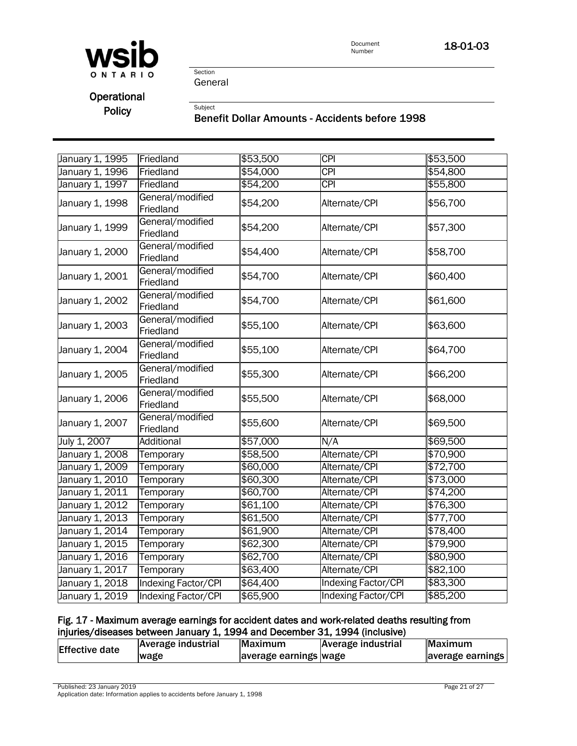

18-01-03

Section General

Subject

## **Operational** Policy

#### Benefit Dollar Amounts - Accidents before 1998

| January 1, 1995 | Friedland                     | \$53,500 | $\overline{CPI}$           | \$53,500 |
|-----------------|-------------------------------|----------|----------------------------|----------|
| January 1, 1996 | Friedland                     | \$54,000 | <b>CPI</b>                 | \$54,800 |
| January 1, 1997 | Friedland                     | \$54,200 | $\overline{CPI}$           | \$55,800 |
| January 1, 1998 | General/modified<br>Friedland | \$54,200 | Alternate/CPI              | \$56,700 |
| January 1, 1999 | General/modified<br>Friedland | \$54,200 | Alternate/CPI              | \$57,300 |
| January 1, 2000 | General/modified<br>Friedland | \$54,400 | Alternate/CPI              | \$58,700 |
| January 1, 2001 | General/modified<br>Friedland | \$54,700 | Alternate/CPI              | \$60,400 |
| January 1, 2002 | General/modified<br>Friedland | \$54,700 | Alternate/CPI              | \$61,600 |
| January 1, 2003 | General/modified<br>Friedland | \$55,100 | Alternate/CPI              | \$63,600 |
| January 1, 2004 | General/modified<br>Friedland | \$55,100 | Alternate/CPI              | \$64,700 |
| January 1, 2005 | General/modified<br>Friedland | \$55,300 | Alternate/CPI              | \$66,200 |
| January 1, 2006 | General/modified<br>Friedland | \$55,500 | Alternate/CPI              | \$68,000 |
| January 1, 2007 | General/modified<br>Friedland | \$55,600 | Alternate/CPI              | \$69,500 |
| July 1, 2007    | <b>Additional</b>             | \$57,000 | N/A                        | \$69,500 |
| January 1, 2008 | Temporary                     | \$58,500 | Alternate/CPI              | \$70,900 |
| January 1, 2009 | Temporary                     | \$60,000 | Alternate/CPI              | \$72,700 |
| January 1, 2010 | Temporary                     | \$60,300 | Alternate/CPI              | \$73,000 |
| January 1, 2011 | Temporary                     | \$60,700 | Alternate/CPI              | \$74,200 |
| January 1, 2012 | Temporary                     | \$61,100 | Alternate/CPI              | \$76,300 |
| January 1, 2013 | Temporary                     | \$61,500 | Alternate/CPI              | \$77,700 |
| January 1, 2014 | Temporary                     | \$61,900 | Alternate/CPI              | \$78,400 |
| January 1, 2015 | Temporary                     | \$62,300 | Alternate/CPI              | \$79,900 |
| January 1, 2016 | Temporary                     | \$62,700 | Alternate/CPI              | \$80,900 |
| January 1, 2017 | Temporary                     | \$63,400 | Alternate/CPI              | \$82,100 |
| January 1, 2018 | <b>Indexing Factor/CPI</b>    | \$64,400 | <b>Indexing Factor/CPI</b> | \$83,300 |
| January 1, 2019 | Indexing Factor/CPI           | \$65,900 | Indexing Factor/CPI        | \$85,200 |

#### Fig. 17 - Maximum average earnings for accident dates and work-related deaths resulting from injuries/diseases between January 1, 1994 and December 31, 1994 (inclusive)

| <b>Effective date</b> | Average industrial | Maximum               | Average industrial | Maximum          |
|-----------------------|--------------------|-----------------------|--------------------|------------------|
|                       | wage               | average earnings wage |                    | average earnings |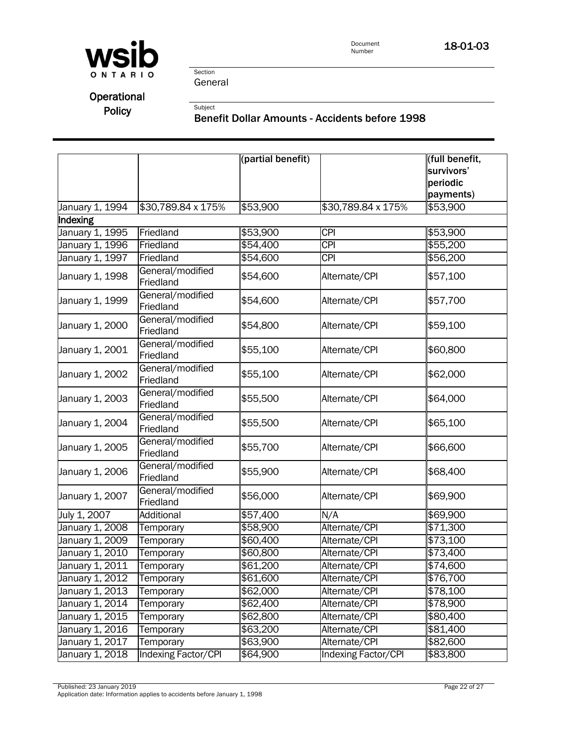

Section General

Subject

## Operational Policy

#### Benefit Dollar Amounts - Accidents before 1998

|                 |                               | (partial benefit) |                     | (full benefit,<br>survivors'<br>periodic |
|-----------------|-------------------------------|-------------------|---------------------|------------------------------------------|
| January 1, 1994 | \$30,789.84 x 175%            | \$53,900          | \$30,789.84 x 175%  | payments)<br>\$53,900                    |
| Indexing        |                               |                   |                     |                                          |
| January 1, 1995 | Friedland                     | \$53,900          | $\overline{CPI}$    | \$53,900                                 |
| January 1, 1996 | Friedland                     | \$54,400          | $\overline{CPI}$    | \$55,200                                 |
| January 1, 1997 | Friedland                     | \$54,600          | $\overline{CPI}$    | \$56,200                                 |
| January 1, 1998 | General/modified<br>Friedland | \$54,600          | Alternate/CPI       | \$57,100                                 |
| January 1, 1999 | General/modified<br>Friedland | \$54,600          | Alternate/CPI       | \$57,700                                 |
| January 1, 2000 | General/modified<br>Friedland | \$54,800          | Alternate/CPI       | \$59,100                                 |
| January 1, 2001 | General/modified<br>Friedland | \$55,100          | Alternate/CPI       | \$60,800                                 |
| January 1, 2002 | General/modified<br>Friedland | \$55,100          | Alternate/CPI       | \$62,000                                 |
| January 1, 2003 | General/modified<br>Friedland | \$55,500          | Alternate/CPI       | \$64,000                                 |
| January 1, 2004 | General/modified<br>Friedland | \$55,500          | Alternate/CPI       | \$65,100                                 |
| January 1, 2005 | General/modified<br>Friedland | \$55,700          | Alternate/CPI       | \$66,600                                 |
| January 1, 2006 | General/modified<br>Friedland | \$55,900          | Alternate/CPI       | \$68,400                                 |
| January 1, 2007 | General/modified<br>Friedland | \$56,000          | Alternate/CPI       | \$69,900                                 |
| July 1, 2007    | Additional                    | \$57,400          | N/A                 | \$69,900                                 |
| January 1, 2008 | Temporary                     | \$58,900          | Alternate/CPI       | $\sqrt{$71,300}$                         |
| January 1, 2009 | Temporary                     | \$60,400          | Alternate/CPI       | \$73,100                                 |
| January 1, 2010 | Temporary                     | \$60,800          | Alternate/CPI       | \$73,400                                 |
| January 1, 2011 | Temporary                     | \$61,200          | Alternate/CPI       | $\sqrt{$74,600}$                         |
| January 1, 2012 | Temporary                     | \$61,600          | Alternate/CPI       | \$76,700                                 |
| January 1, 2013 | Temporary                     | \$62,000          | Alternate/CPI       | \$78,100                                 |
| January 1, 2014 | Temporary                     | \$62,400          | Alternate/CPI       | \$78,900                                 |
| January 1, 2015 | Temporary                     | \$62,800          | Alternate/CPI       | \$80,400                                 |
| January 1, 2016 | Temporary                     | \$63,200          | Alternate/CPI       | \$81,400                                 |
| January 1, 2017 | Temporary                     | \$63,900          | Alternate/CPI       | \$82,600                                 |
| January 1, 2018 | Indexing Factor/CPI           | \$64,900          | Indexing Factor/CPI | \$83,800                                 |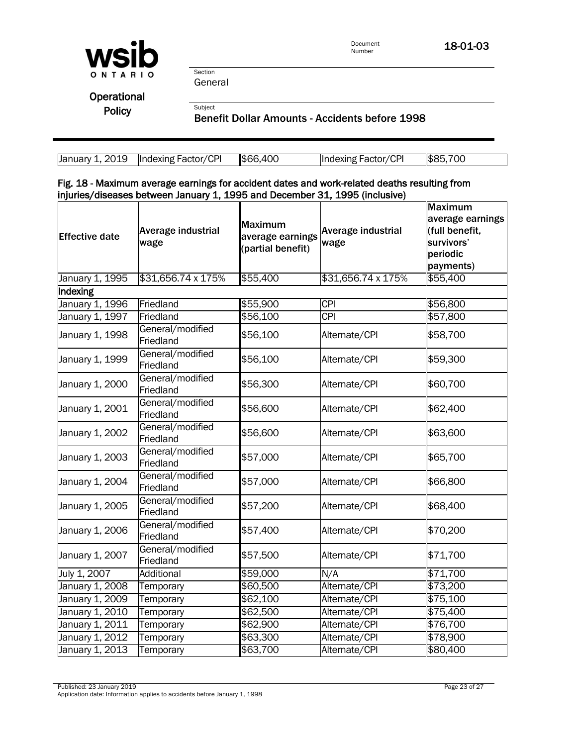

18-01-03

Section General

Subject

**Operational** Policy

Benefit Dollar Amounts - Accidents before 1998

| January 1, 2019   Indexing Factor/CPI | \$66,400 | Indexing Factor/CPI | \$85,700 |
|---------------------------------------|----------|---------------------|----------|

Fig. 18 - Maximum average earnings for accident dates and work-related deaths resulting from injuries/diseases between January 1, 1995 and December 31, 1995 (inclusive)

| <b>Effective date</b> | Average industrial<br>wage    | <b>Maximum</b><br>average earnings<br>(partial benefit) | Average industrial<br>wage | <b>Maximum</b><br>average earnings<br>(full benefit,<br>survivors'<br>periodic<br>payments) |
|-----------------------|-------------------------------|---------------------------------------------------------|----------------------------|---------------------------------------------------------------------------------------------|
| January 1, 1995       | \$31,656.74 x 175%            | \$55,400                                                | \$31,656.74 x 175%         | \$55,400                                                                                    |
| Indexing              |                               |                                                         |                            |                                                                                             |
| January 1, 1996       | Friedland                     | \$55,900                                                | <b>CPI</b>                 | \$56,800                                                                                    |
| January 1, 1997       | Friedland                     | \$56,100                                                | <b>CPI</b>                 | \$57,800                                                                                    |
| January 1, 1998       | General/modified<br>Friedland | \$56,100                                                | Alternate/CPI              | \$58,700                                                                                    |
| January 1, 1999       | General/modified<br>Friedland | \$56,100                                                | Alternate/CPI              | \$59,300                                                                                    |
| January 1, 2000       | General/modified<br>Friedland | \$56,300                                                | Alternate/CPI              | \$60,700                                                                                    |
| January 1, 2001       | General/modified<br>Friedland | \$56,600                                                | Alternate/CPI              | \$62,400                                                                                    |
| January 1, 2002       | General/modified<br>Friedland | \$56,600                                                | Alternate/CPI              | \$63,600                                                                                    |
| January 1, 2003       | General/modified<br>Friedland | \$57,000                                                | Alternate/CPI              | \$65,700                                                                                    |
| January 1, 2004       | General/modified<br>Friedland | \$57,000                                                | Alternate/CPI              | \$66,800                                                                                    |
| January 1, 2005       | General/modified<br>Friedland | \$57,200                                                | Alternate/CPI              | \$68,400                                                                                    |
| January 1, 2006       | General/modified<br>Friedland | \$57,400                                                | Alternate/CPI              | \$70,200                                                                                    |
| January 1, 2007       | General/modified<br>Friedland | \$57,500                                                | Alternate/CPI              | \$71,700                                                                                    |
| July 1, 2007          | Additional                    | \$59,000                                                | N/A                        | \$71,700                                                                                    |
| January 1, 2008       | Temporary                     | \$60,500                                                | Alternate/CPI              | \$73,200                                                                                    |
| January 1, 2009       | Temporary                     | \$62,100                                                | Alternate/CPI              | \$75,100                                                                                    |
| January 1, 2010       | Temporary                     | \$62,500                                                | Alternate/CPI              | $\sqrt{$75,400}$                                                                            |
| January 1, 2011       | Temporary                     | \$62,900                                                | Alternate/CPI              | \$76,700                                                                                    |
| January 1, 2012       | Temporary                     | \$63,300                                                | Alternate/CPI              | \$78,900                                                                                    |
| January 1, 2013       | Temporary                     | \$63,700                                                | Alternate/CPI              | \$80,400                                                                                    |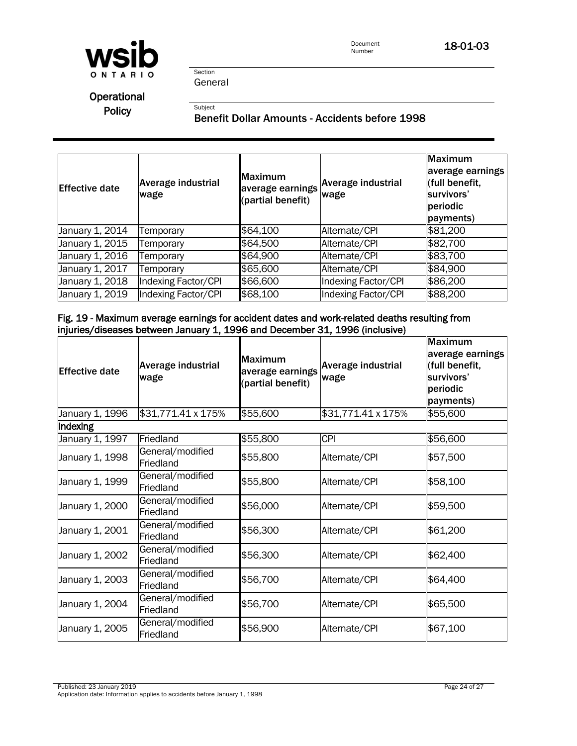

General

Section

Subject

## **Operational** Policy

### Benefit Dollar Amounts - Accidents before 1998

| <b>Effective date</b> | <b>Average industrial</b><br>wage | Maximum<br>(partial benefit) | laverage earnings Average industrial<br>wage | Maximum<br>average earnings<br>(full benefit,<br>survivors'<br>periodic<br>payments) |
|-----------------------|-----------------------------------|------------------------------|----------------------------------------------|--------------------------------------------------------------------------------------|
| January 1, 2014       | emporary                          | \$64,100                     | Alternate/CPI                                | \$81,200                                                                             |
| January 1, 2015       | <b>Femporary</b>                  | \$64,500                     | Alternate/CPI                                | \$82,700                                                                             |
| January 1, 2016       | Temporary                         | \$64,900                     | Alternate/CPI                                | \$83,700                                                                             |
| January 1, 2017       | Temporary                         | \$65,600                     | Alternate/CPI                                | \$84,900                                                                             |
| January 1, 2018       | Indexing Factor/CPI               | \$66,600                     | Indexing Factor/CPI                          | \$86,200                                                                             |
| January 1, 2019       | <b>Indexing Factor/CPI</b>        | \$68,100                     | Indexing Factor/CPI                          | \$88,200                                                                             |

#### Fig. 19 - Maximum average earnings for accident dates and work-related deaths resulting from injuries/diseases between January 1, 1996 and December 31, 1996 (inclusive)

| Effective date  | Average industrial<br>wage    | <b>Maximum</b><br>average earnings<br>(partial benefit) | <b>Average industrial</b><br>wage | <b>Maximum</b><br>average earnings<br>(full benefit,<br>survivors'<br>periodic<br>payments) |
|-----------------|-------------------------------|---------------------------------------------------------|-----------------------------------|---------------------------------------------------------------------------------------------|
| January 1, 1996 | \$31,771.41 x 175%            | \$55,600                                                | \$31,771.41 x 175%                | \$55,600                                                                                    |
| <b>Indexing</b> |                               |                                                         |                                   |                                                                                             |
| January 1, 1997 | Friedland                     | \$55,800                                                | <b>CPI</b>                        | \$56,600                                                                                    |
| January 1, 1998 | General/modified<br>Friedland | \$55,800                                                | Alternate/CPI                     | \$57,500                                                                                    |
| January 1, 1999 | General/modified<br>Friedland | \$55,800                                                | Alternate/CPI                     | \$58,100                                                                                    |
| January 1, 2000 | General/modified<br>Friedland | \$56,000                                                | Alternate/CPI                     | \$59,500                                                                                    |
| January 1, 2001 | General/modified<br>Friedland | \$56,300                                                | Alternate/CPI                     | \$61,200                                                                                    |
| January 1, 2002 | General/modified<br>Friedland | \$56,300                                                | Alternate/CPI                     | \$62,400                                                                                    |
| January 1, 2003 | General/modified<br>Friedland | \$56,700                                                | Alternate/CPI                     | \$64,400                                                                                    |
| January 1, 2004 | General/modified<br>Friedland | \$56,700                                                | Alternate/CPI                     | \$65,500                                                                                    |
| January 1, 2005 | General/modified<br>Friedland | \$56,900                                                | Alternate/CPI                     | \$67,100                                                                                    |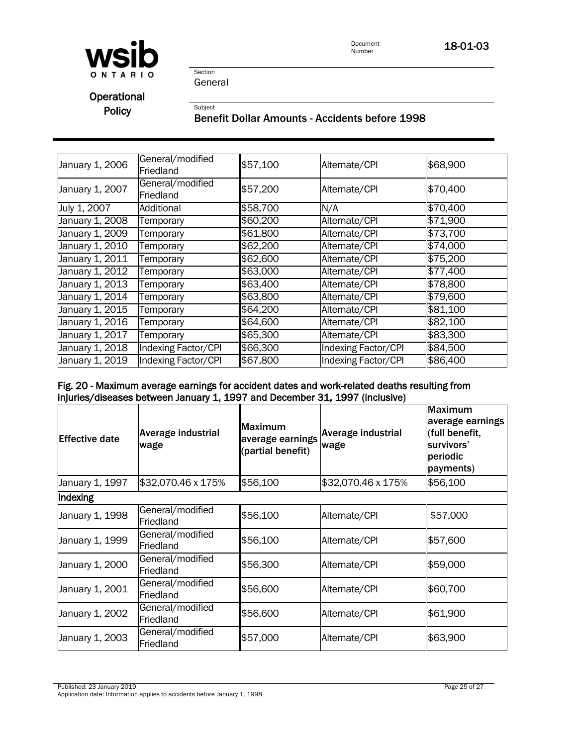

18-01-03

Section General

Subject

**Operational** Policy

#### Benefit Dollar Amounts - Accidents before 1998

| January 1, 2006 | General/modified<br>Friedland | \$57,100 | Alternate/CPI       | \$68,900 |
|-----------------|-------------------------------|----------|---------------------|----------|
| January 1, 2007 | General/modified<br>Friedland | \$57,200 | Alternate/CPI       | \$70,400 |
| July 1, 2007    | Additional                    | \$58,700 | N/A                 | \$70,400 |
| January 1, 2008 | Temporary                     | \$60,200 | Alternate/CPI       | \$71,900 |
| January 1, 2009 | Temporary                     | \$61,800 | Alternate/CPI       | \$73,700 |
| January 1, 2010 | Temporary                     | \$62,200 | Alternate/CPI       | \$74,000 |
| January 1, 2011 | Temporary                     | \$62,600 | Alternate/CPI       | \$75,200 |
| January 1, 2012 | Temporary                     | \$63,000 | Alternate/CPI       | \$77,400 |
| January 1, 2013 | Temporary                     | \$63,400 | Alternate/CPI       | \$78,800 |
| January 1, 2014 | Temporary                     | \$63,800 | Alternate/CPI       | \$79,600 |
| January 1, 2015 | Temporary                     | \$64,200 | Alternate/CPI       | \$81,100 |
| January 1, 2016 | Temporary                     | \$64,600 | Alternate/CPI       | \$82,100 |
| January 1, 2017 | Temporary                     | \$65,300 | Alternate/CPI       | \$83,300 |
| January 1, 2018 | <b>Indexing Factor/CPI</b>    | \$66,300 | Indexing Factor/CPI | \$84,500 |
| January 1, 2019 | Indexing Factor/CPI           | \$67,800 | Indexing Factor/CPI | \$86,400 |

### Fig. 20 - Maximum average earnings for accident dates and work-related deaths resulting from injuries/diseases between January 1, 1997 and December 31, 1997 (inclusive)

| <b>Effective date</b> | Average industrial<br>wage    | <b>Maximum</b><br>average earnings<br>(partial benefit) | Average industrial<br>wage | <b>Maximum</b><br>average earnings<br>(full benefit,<br>survivors'<br>periodic<br>payments) |
|-----------------------|-------------------------------|---------------------------------------------------------|----------------------------|---------------------------------------------------------------------------------------------|
| January 1, 1997       | \$32,070.46 x 175%            | \$56,100                                                | \$32,070.46 x 175%         | \$56,100                                                                                    |
| Indexing              |                               |                                                         |                            |                                                                                             |
| January 1, 1998       | General/modified<br>Friedland | \$56,100                                                | Alternate/CPI              | \$57,000                                                                                    |
| January 1, 1999       | General/modified<br>Friedland | \$56,100                                                | Alternate/CPI              | \$57,600                                                                                    |
| January 1, 2000       | General/modified<br>Friedland | \$56,300                                                | Alternate/CPI              | \$59,000                                                                                    |
| January 1, 2001       | General/modified<br>Friedland | \$56,600                                                | Alternate/CPI              | \$60,700                                                                                    |
| January 1, 2002       | General/modified<br>Friedland | \$56,600                                                | Alternate/CPI              | \$61,900                                                                                    |
| January 1, 2003       | General/modified<br>Friedland | \$57,000                                                | Alternate/CPI              | \$63,900                                                                                    |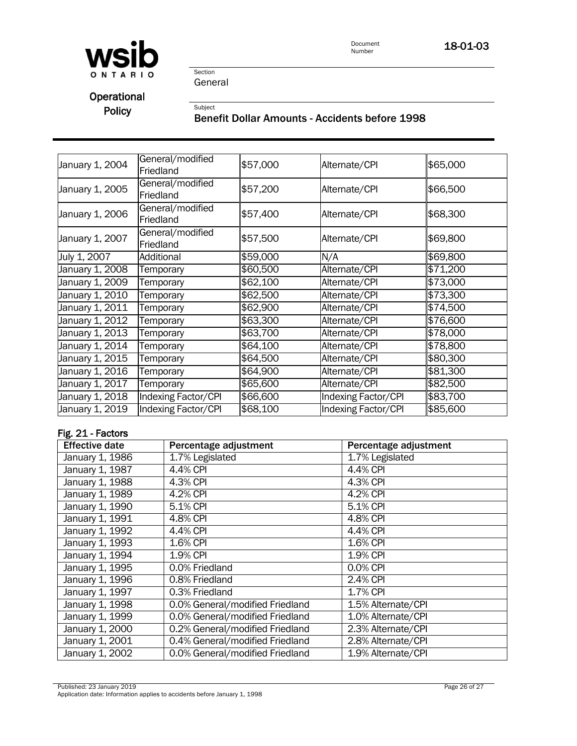

18-01-03

Section General

Subject

## Operational Policy

## Benefit Dollar Amounts - Accidents before 1998

| January 1, 2004               | General/modified    | \$57,000 | Alternate/CPI       | \$65,000 |
|-------------------------------|---------------------|----------|---------------------|----------|
|                               | Friedland           |          |                     |          |
| January 1, 2005               | General/modified    | \$57,200 | Alternate/CPI       | \$66,500 |
|                               | Friedland           |          |                     |          |
|                               | General/modified    |          |                     |          |
| January 1, 2006               | Friedland           | \$57,400 | Alternate/CPI       | \$68,300 |
|                               | General/modified    |          |                     |          |
| January 1, 2007               | Friedland           | \$57,500 | Alternate/CPI       | \$69,800 |
| July 1, 2007                  | Additional          | \$59,000 | N/A                 | \$69,800 |
| January 1, 2008               | Temporary           | \$60,500 | Alternate/CPI       | \$71,200 |
| January 1, 2009               | Temporary           | \$62,100 | Alternate/CPI       | \$73,000 |
| January 1, 2010               | Temporary           | \$62,500 | Alternate/CPI       | \$73,300 |
| January 1, 2011               | Temporary           | \$62,900 | Alternate/CPI       | \$74,500 |
| January 1, 2012               | Temporary           | \$63,300 | Alternate/CPI       | \$76,600 |
| January 1, 2013               | Temporary           | \$63,700 | Alternate/CPI       | \$78,000 |
| January 1, 2014               | Temporary           | \$64,100 | Alternate/CPI       | \$78,800 |
| January 1, 2015               | Temporary           | \$64,500 | Alternate/CPI       | \$80,300 |
| January 1, 20 $1\overline{6}$ | Temporary           | \$64,900 | Alternate/CPI       | \$81,300 |
| January 1, 20 $\overline{17}$ | Temporary           | \$65,600 | Alternate/CPI       | \$82,500 |
| January 1, 2018               | Indexing Factor/CPI | \$66,600 | Indexing Factor/CPI | \$83,700 |
| January 1, 2019               | Indexing Factor/CPI | \$68,100 | Indexing Factor/CPI | \$85,600 |

#### Fig. 21 - Factors

| <b>Effective date</b> | Percentage adjustment           | Percentage adjustment  |
|-----------------------|---------------------------------|------------------------|
| January 1, 1986       | $1.7%$ Legislated               | 1.7% Legislated        |
| January 1, 1987       | 4.4% CPI                        | $\overline{4.4\%}$ CPI |
| January 1, 1988       | 4.3% CPI                        | 4.3% CPI               |
| January 1, 1989       | 4.2% CPI                        | 4.2% CPI               |
| January 1, 1990       | 5.1% CPI                        | 5.1% CPI               |
| January 1, 1991       | 4.8% CPI                        | 4.8% CPI               |
| January 1, 1992       | 4.4% CPI                        | 4.4% CPI               |
| January 1, 1993       | 1.6% CPI                        | 1.6% CPI               |
| January 1, 1994       | 1.9% CPI                        | 1.9% CPI               |
| January 1, 1995       | 0.0% Friedland                  | 0.0% CPI               |
| January 1, 1996       | 0.8% Friedland                  | 2.4% CPI               |
| January 1, 1997       | 0.3% Friedland                  | 1.7% CPI               |
| January 1, 1998       | 0.0% General/modified Friedland | 1.5% Alternate/CPI     |
| January 1, 1999       | 0.0% General/modified Friedland | 1.0% Alternate/CPI     |
| January 1, 2000       | 0.2% General/modified Friedland | 2.3% Alternate/CPI     |
| January 1, 2001       | 0.4% General/modified Friedland | 2.8% Alternate/CPI     |
| January 1, 2002       | 0.0% General/modified Friedland | 1.9% Alternate/CPI     |